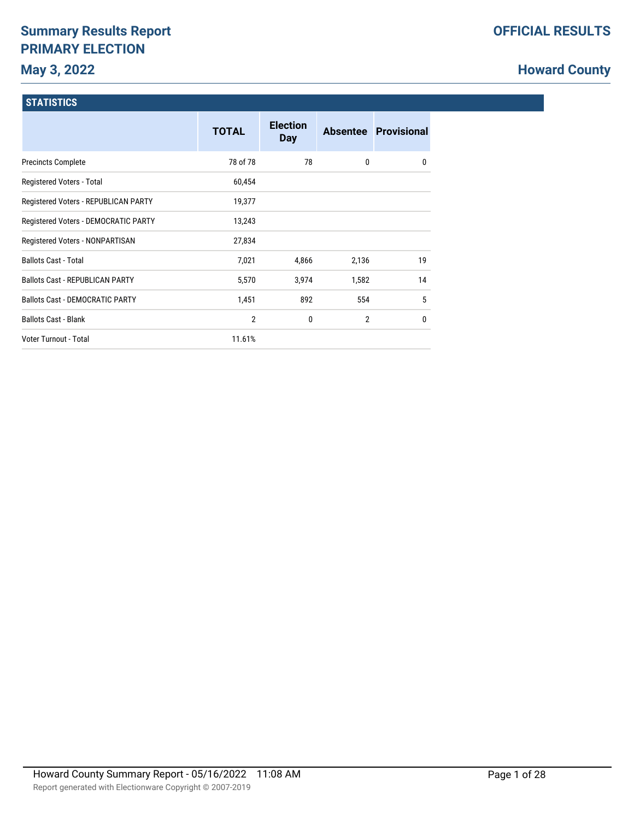# **Summary Results Report PRIMARY ELECTION**

# **Howard County**

### **STATISTICS**

|                                        | <b>TOTAL</b>   | <b>Election</b><br><b>Day</b> |                | Absentee Provisional |
|----------------------------------------|----------------|-------------------------------|----------------|----------------------|
| <b>Precincts Complete</b>              | 78 of 78       | 78                            | 0              | $\mathbf{0}$         |
| Registered Voters - Total              | 60,454         |                               |                |                      |
| Registered Voters - REPUBLICAN PARTY   | 19,377         |                               |                |                      |
| Registered Voters - DEMOCRATIC PARTY   | 13,243         |                               |                |                      |
| Registered Voters - NONPARTISAN        | 27,834         |                               |                |                      |
| <b>Ballots Cast - Total</b>            | 7,021          | 4,866                         | 2,136          | 19                   |
| <b>Ballots Cast - REPUBLICAN PARTY</b> | 5,570          | 3,974                         | 1,582          | 14                   |
| <b>Ballots Cast - DEMOCRATIC PARTY</b> | 1,451          | 892                           | 554            | 5                    |
| <b>Ballots Cast - Blank</b>            | $\overline{2}$ | 0                             | $\overline{2}$ | $\mathbf{0}$         |
| Voter Turnout - Total                  | 11.61%         |                               |                |                      |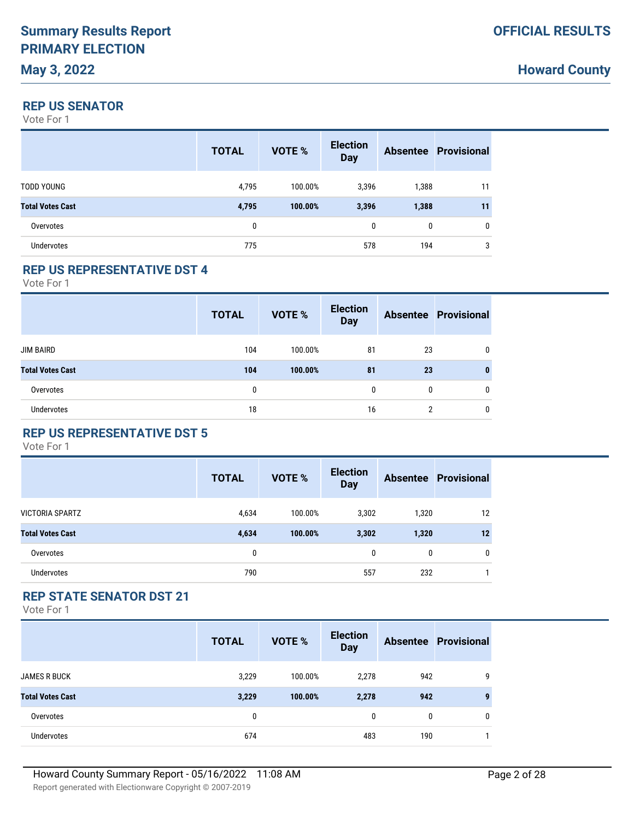# **Howard County**

#### **REP US SENATOR**

Vote For 1

|                         | <b>TOTAL</b> | <b>VOTE %</b> | <b>Election</b><br><b>Day</b> |       | <b>Absentee Provisional</b> |
|-------------------------|--------------|---------------|-------------------------------|-------|-----------------------------|
| <b>TODD YOUNG</b>       | 4,795        | 100.00%       | 3,396                         | 1,388 | 11                          |
| <b>Total Votes Cast</b> | 4,795        | 100.00%       | 3,396                         | 1,388 | 11                          |
| Overvotes               | 0            |               | $\mathbf{0}$                  | 0     | 0                           |
| <b>Undervotes</b>       | 775          |               | 578                           | 194   | 3                           |

#### **REP US REPRESENTATIVE DST 4**

Vote For 1

|                         | <b>TOTAL</b> | <b>VOTE %</b> | <b>Election</b><br><b>Day</b> |                | <b>Absentee Provisional</b> |
|-------------------------|--------------|---------------|-------------------------------|----------------|-----------------------------|
| <b>JIM BAIRD</b>        | 104          | 100.00%       | 81                            | 23             |                             |
| <b>Total Votes Cast</b> | 104          | 100.00%       | 81                            | 23             |                             |
| Overvotes               | $\mathbf{0}$ |               | 0                             | 0              | 0                           |
| <b>Undervotes</b>       | 18           |               | 16                            | $\overline{2}$ | 0                           |

# **REP US REPRESENTATIVE DST 5**

Vote For 1

|                         | <b>TOTAL</b> | <b>VOTE %</b> | <b>Election</b><br><b>Day</b> |              | <b>Absentee Provisional</b> |
|-------------------------|--------------|---------------|-------------------------------|--------------|-----------------------------|
| <b>VICTORIA SPARTZ</b>  | 4,634        | 100.00%       | 3,302                         | 1,320        | 12                          |
| <b>Total Votes Cast</b> | 4,634        | 100.00%       | 3,302                         | 1,320        | 12                          |
| Overvotes               | 0            |               | $\mathbf{0}$                  | $\mathbf{0}$ | $\mathbf{0}$                |
| <b>Undervotes</b>       | 790          |               | 557                           | 232          |                             |

#### **REP STATE SENATOR DST 21**

|                         | <b>TOTAL</b> | <b>VOTE %</b> | <b>Election</b><br><b>Day</b> |     | <b>Absentee Provisional</b> |
|-------------------------|--------------|---------------|-------------------------------|-----|-----------------------------|
| <b>JAMES R BUCK</b>     | 3,229        | 100.00%       | 2,278                         | 942 | 9                           |
| <b>Total Votes Cast</b> | 3,229        | 100.00%       | 2,278                         | 942 | 9                           |
| Overvotes               | 0            |               | $\mathbf{0}$                  | 0   | $\mathbf{0}$                |
| Undervotes              | 674          |               | 483                           | 190 |                             |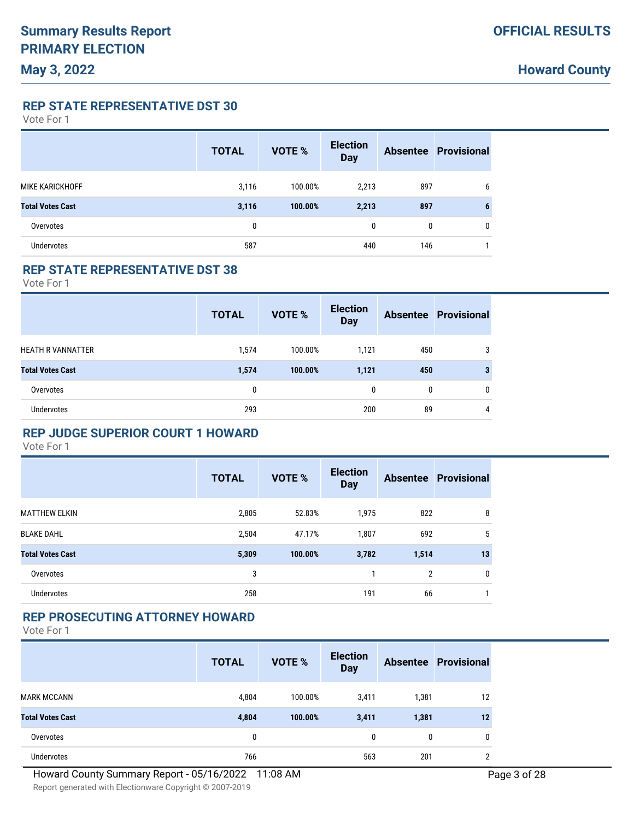**REP STATE REPRESENTATIVE DST 30**

Vote For 1

|                         | <b>TOTAL</b> | <b>VOTE %</b> | <b>Election</b><br><b>Day</b> |     | <b>Absentee Provisional</b> |
|-------------------------|--------------|---------------|-------------------------------|-----|-----------------------------|
| MIKE KARICKHOFF         | 3,116        | 100.00%       | 2,213                         | 897 | 6                           |
| <b>Total Votes Cast</b> | 3,116        | 100.00%       | 2,213                         | 897 | 6                           |
| Overvotes               | 0            |               | $\mathbf{0}$                  | 0   | $\mathbf{0}$                |
| <b>Undervotes</b>       | 587          |               | 440                           | 146 |                             |

#### **REP STATE REPRESENTATIVE DST 38**

Vote For 1

|                          | <b>TOTAL</b> | VOTE %  | <b>Election</b><br><b>Day</b> |     | <b>Absentee Provisional</b> |
|--------------------------|--------------|---------|-------------------------------|-----|-----------------------------|
| <b>HEATH R VANNATTER</b> | 1,574        | 100.00% | 1.121                         | 450 |                             |
| <b>Total Votes Cast</b>  | 1,574        | 100.00% | 1,121                         | 450 |                             |
| Overvotes                | 0            |         | 0                             | 0   | 0                           |
| <b>Undervotes</b>        | 293          |         | 200                           | 89  | 4                           |

#### **REP JUDGE SUPERIOR COURT 1 HOWARD**

Vote For 1

|                         | <b>TOTAL</b> | <b>VOTE %</b> | <b>Election</b><br><b>Day</b> |                | <b>Absentee Provisional</b> |
|-------------------------|--------------|---------------|-------------------------------|----------------|-----------------------------|
| <b>MATTHEW ELKIN</b>    | 2,805        | 52.83%        | 1,975                         | 822            | 8                           |
| <b>BLAKE DAHL</b>       | 2,504        | 47.17%        | 1,807                         | 692            | 5                           |
| <b>Total Votes Cast</b> | 5,309        | 100.00%       | 3,782                         | 1,514          | 13                          |
| Overvotes               | 3            |               |                               | $\overline{2}$ | 0                           |
| <b>Undervotes</b>       | 258          |               | 191                           | 66             |                             |

#### **REP PROSECUTING ATTORNEY HOWARD**

|                         | <b>TOTAL</b> | VOTE %  | <b>Election</b><br><b>Day</b> |       | <b>Absentee Provisional</b> |
|-------------------------|--------------|---------|-------------------------------|-------|-----------------------------|
| <b>MARK MCCANN</b>      | 4,804        | 100.00% | 3,411                         | 1,381 | 12                          |
| <b>Total Votes Cast</b> | 4,804        | 100.00% | 3,411                         | 1,381 | 12                          |
| Overvotes               | 0            |         | $\mathbf{0}$                  | 0     | 0                           |
| Undervotes              | 766          |         | 563                           | 201   | ∩                           |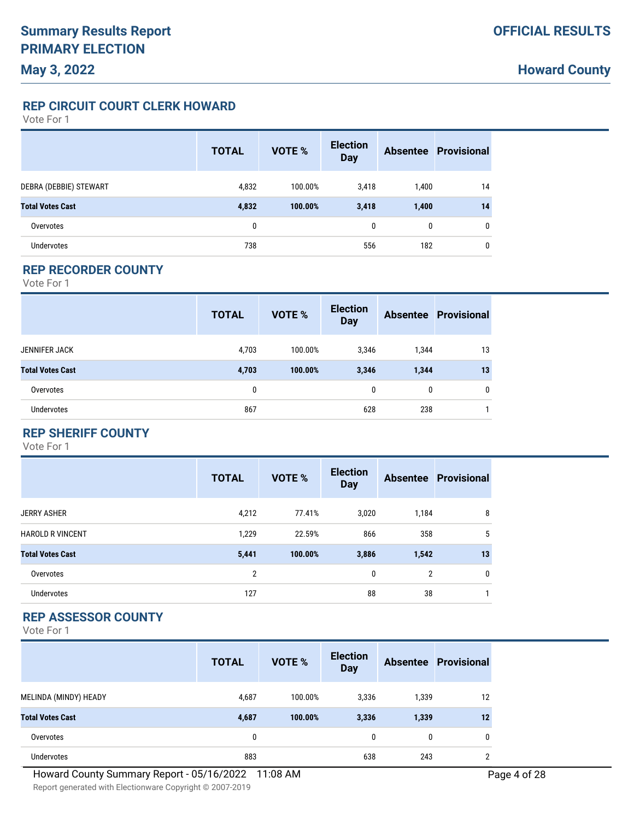**REP CIRCUIT COURT CLERK HOWARD**

Vote For 1

|                         | <b>TOTAL</b> | <b>VOTE %</b> | <b>Election</b><br><b>Day</b> |       | <b>Absentee Provisional</b> |
|-------------------------|--------------|---------------|-------------------------------|-------|-----------------------------|
| DEBRA (DEBBIE) STEWART  | 4,832        | 100.00%       | 3,418                         | 1,400 | 14                          |
| <b>Total Votes Cast</b> | 4,832        | 100.00%       | 3,418                         | 1,400 | 14                          |
| Overvotes               | 0            |               | $\mathbf{0}$                  | 0     | 0                           |
| <b>Undervotes</b>       | 738          |               | 556                           | 182   | 0                           |

#### **REP RECORDER COUNTY**

Vote For 1

|                         | <b>TOTAL</b> | VOTE %  | <b>Election</b><br><b>Day</b> |       | <b>Absentee Provisional</b> |
|-------------------------|--------------|---------|-------------------------------|-------|-----------------------------|
| <b>JENNIFER JACK</b>    | 4,703        | 100.00% | 3,346                         | 1,344 | 13                          |
| <b>Total Votes Cast</b> | 4,703        | 100.00% | 3,346                         | 1,344 | 13                          |
| Overvotes               | 0            |         | 0                             | 0     | 0                           |
| <b>Undervotes</b>       | 867          |         | 628                           | 238   |                             |

### **REP SHERIFF COUNTY**

Vote For 1

|                         | <b>TOTAL</b>   | <b>VOTE %</b> | <b>Election</b><br><b>Day</b> |                | <b>Absentee Provisional</b> |
|-------------------------|----------------|---------------|-------------------------------|----------------|-----------------------------|
| <b>JERRY ASHER</b>      | 4,212          | 77.41%        | 3,020                         | 1,184          | 8                           |
| <b>HAROLD R VINCENT</b> | 1,229          | 22.59%        | 866                           | 358            | 5                           |
| <b>Total Votes Cast</b> | 5,441          | 100.00%       | 3,886                         | 1,542          | 13                          |
| Overvotes               | $\overline{2}$ |               | 0                             | $\overline{2}$ | 0                           |
| <b>Undervotes</b>       | 127            |               | 88                            | 38             |                             |

### **REP ASSESSOR COUNTY**

|                         | <b>TOTAL</b> | <b>VOTE %</b> | <b>Election</b><br><b>Day</b> |       | <b>Absentee Provisional</b> |
|-------------------------|--------------|---------------|-------------------------------|-------|-----------------------------|
| MELINDA (MINDY) HEADY   | 4,687        | 100.00%       | 3,336                         | 1,339 | 12                          |
| <b>Total Votes Cast</b> | 4,687        | 100.00%       | 3,336                         | 1,339 | 12                          |
| Overvotes               | 0            |               | 0                             | 0     | 0                           |
| <b>Undervotes</b>       | 883          |               | 638                           | 243   | C                           |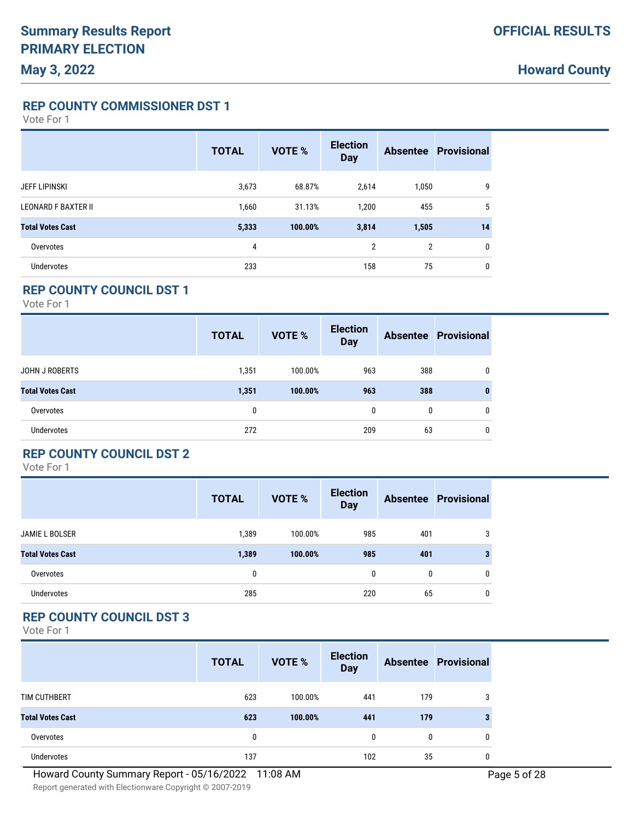**REP COUNTY COMMISSIONER DST 1**

Vote For 1

|                            | <b>TOTAL</b> | <b>VOTE %</b> | <b>Election</b><br><b>Day</b> |                | <b>Absentee Provisional</b> |
|----------------------------|--------------|---------------|-------------------------------|----------------|-----------------------------|
| <b>JEFF LIPINSKI</b>       | 3,673        | 68.87%        | 2,614                         | 1,050          | 9                           |
| <b>LEONARD F BAXTER II</b> | 1,660        | 31.13%        | 1,200                         | 455            | 5                           |
| <b>Total Votes Cast</b>    | 5,333        | 100.00%       | 3,814                         | 1,505          | 14                          |
| Overvotes                  | 4            |               | $\overline{2}$                | $\overline{2}$ | 0                           |
| Undervotes                 | 233          |               | 158                           | 75             | 0                           |

### **REP COUNTY COUNCIL DST 1**

Vote For 1

|                         | <b>TOTAL</b> | VOTE %  | <b>Election</b><br><b>Day</b> |     | <b>Absentee Provisional</b> |
|-------------------------|--------------|---------|-------------------------------|-----|-----------------------------|
| <b>JOHN J ROBERTS</b>   | 1,351        | 100.00% | 963                           | 388 | 0                           |
| <b>Total Votes Cast</b> | 1,351        | 100.00% | 963                           | 388 | $\bf{0}$                    |
| Overvotes               | 0            |         | 0                             | 0   | 0                           |
| <b>Undervotes</b>       | 272          |         | 209                           | 63  | 0                           |

### **REP COUNTY COUNCIL DST 2**

Vote For 1

|                         | <b>TOTAL</b> | <b>VOTE %</b> | <b>Election</b><br><b>Day</b> |     | <b>Absentee Provisional</b> |
|-------------------------|--------------|---------------|-------------------------------|-----|-----------------------------|
| <b>JAMIE L BOLSER</b>   | 1,389        | 100.00%       | 985                           | 401 | 3                           |
| <b>Total Votes Cast</b> | 1,389        | 100.00%       | 985                           | 401 | 3                           |
| Overvotes               | 0            |               | $\mathbf{0}$                  | 0   | $\mathbf{0}$                |
| <b>Undervotes</b>       | 285          |               | 220                           | 65  | 0                           |

# **REP COUNTY COUNCIL DST 3**

|                         | <b>TOTAL</b> | VOTE %  | <b>Election</b><br><b>Day</b> |     | <b>Absentee Provisional</b> |
|-------------------------|--------------|---------|-------------------------------|-----|-----------------------------|
| TIM CUTHBERT            | 623          | 100.00% | 441                           | 179 | 3                           |
| <b>Total Votes Cast</b> | 623          | 100.00% | 441                           | 179 |                             |
| Overvotes               | 0            |         | 0                             | 0   | 0                           |
| Undervotes              | 137          |         | 102                           | 35  |                             |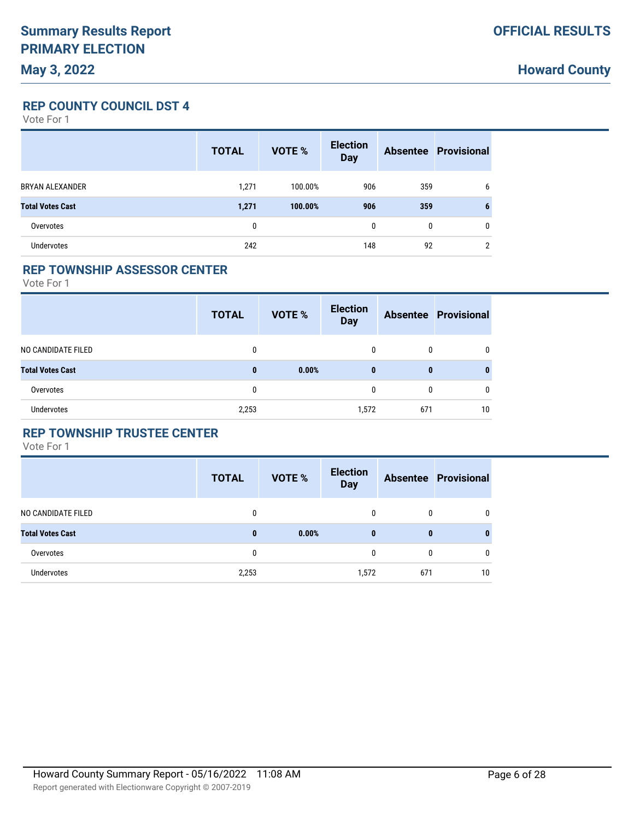**Howard County**

**REP COUNTY COUNCIL DST 4**

Vote For 1

|                         | <b>TOTAL</b> | <b>VOTE %</b> | <b>Election</b><br><b>Day</b> |              | <b>Absentee Provisional</b> |
|-------------------------|--------------|---------------|-------------------------------|--------------|-----------------------------|
| BRYAN ALEXANDER         | 1,271        | 100.00%       | 906                           | 359          | 6                           |
| <b>Total Votes Cast</b> | 1,271        | 100.00%       | 906                           | 359          | 6                           |
| Overvotes               | 0            |               | $\mathbf{0}$                  | $\mathbf{0}$ | $\mathbf{0}$                |
| <b>Undervotes</b>       | 242          |               | 148                           | 92           | $\overline{2}$              |

#### **REP TOWNSHIP ASSESSOR CENTER**

Vote For 1

|                         | <b>TOTAL</b> | <b>VOTE %</b> | <b>Election</b><br><b>Day</b> |     | <b>Absentee Provisional</b> |
|-------------------------|--------------|---------------|-------------------------------|-----|-----------------------------|
| NO CANDIDATE FILED      | 0            |               | $\Omega$                      | 0   | 0                           |
| <b>Total Votes Cast</b> | $\bf{0}$     | 0.00%         | 0                             | 0   | 0                           |
| Overvotes               | 0            |               | 0                             | 0   | 0                           |
| Undervotes              | 2,253        |               | 1,572                         | 671 | 10                          |

### **REP TOWNSHIP TRUSTEE CENTER**

|                         | <b>TOTAL</b> | <b>VOTE %</b> | <b>Election</b><br><b>Day</b> |     | <b>Absentee Provisional</b> |
|-------------------------|--------------|---------------|-------------------------------|-----|-----------------------------|
| NO CANDIDATE FILED      | 0            |               | 0                             | 0   | $\mathbf{0}$                |
| <b>Total Votes Cast</b> | $\bf{0}$     | 0.00%         | $\bf{0}$                      | 0   | 0                           |
| Overvotes               | 0            |               | 0                             | 0   | $\mathbf{0}$                |
| <b>Undervotes</b>       | 2,253        |               | 1,572                         | 671 | 10                          |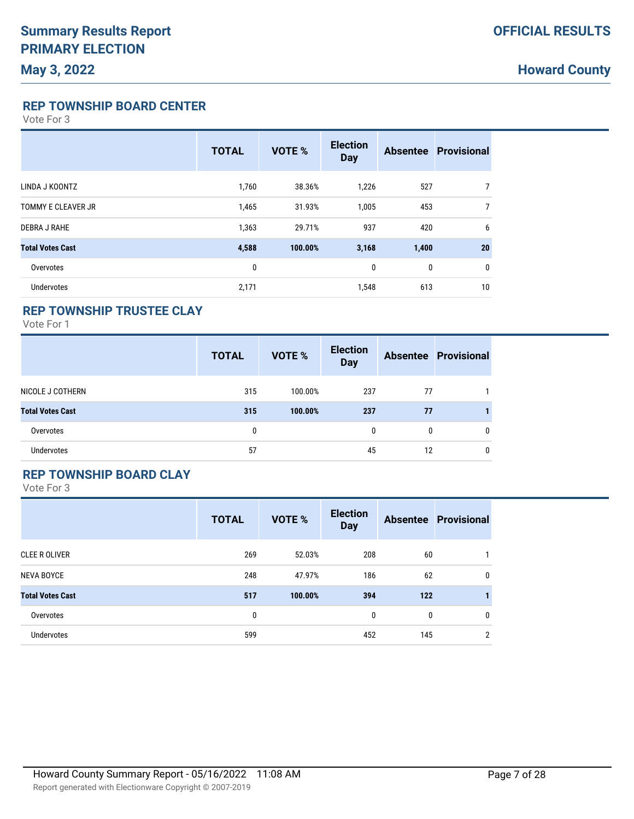**REP TOWNSHIP BOARD CENTER**

Vote For 3

|                           | <b>TOTAL</b> | <b>VOTE %</b> | <b>Election</b><br><b>Day</b> |       | <b>Absentee Provisional</b> |
|---------------------------|--------------|---------------|-------------------------------|-------|-----------------------------|
| LINDA J KOONTZ            | 1,760        | 38.36%        | 1,226                         | 527   | 7                           |
| <b>TOMMY E CLEAVER JR</b> | 1,465        | 31.93%        | 1,005                         | 453   | 7                           |
| <b>DEBRA J RAHE</b>       | 1,363        | 29.71%        | 937                           | 420   | 6                           |
| <b>Total Votes Cast</b>   | 4,588        | 100.00%       | 3,168                         | 1,400 | 20                          |
| Overvotes                 | 0            |               | 0                             | 0     | 0                           |
| <b>Undervotes</b>         | 2,171        |               | 1,548                         | 613   | 10                          |

#### **REP TOWNSHIP TRUSTEE CLAY**

Vote For 1

|                         | <b>TOTAL</b> | <b>VOTE %</b> | <b>Election</b><br><b>Day</b> |    | <b>Absentee Provisional</b> |
|-------------------------|--------------|---------------|-------------------------------|----|-----------------------------|
| NICOLE J COTHERN        | 315          | 100.00%       | 237                           | 77 |                             |
| <b>Total Votes Cast</b> | 315          | 100.00%       | 237                           | 77 |                             |
| Overvotes               | 0            |               | 0                             | 0  | 0                           |
| Undervotes              | 57           |               | 45                            | 12 | 0                           |

### **REP TOWNSHIP BOARD CLAY**

|                         | <b>TOTAL</b> | <b>VOTE %</b> | <b>Election</b><br><b>Day</b> |     | <b>Absentee Provisional</b> |
|-------------------------|--------------|---------------|-------------------------------|-----|-----------------------------|
| <b>CLEE R OLIVER</b>    | 269          | 52.03%        | 208                           | 60  |                             |
| <b>NEVA BOYCE</b>       | 248          | 47.97%        | 186                           | 62  | 0                           |
| <b>Total Votes Cast</b> | 517          | 100.00%       | 394                           | 122 |                             |
| Overvotes               | 0            |               | 0                             | 0   | 0                           |
| Undervotes              | 599          |               | 452                           | 145 | $\overline{2}$              |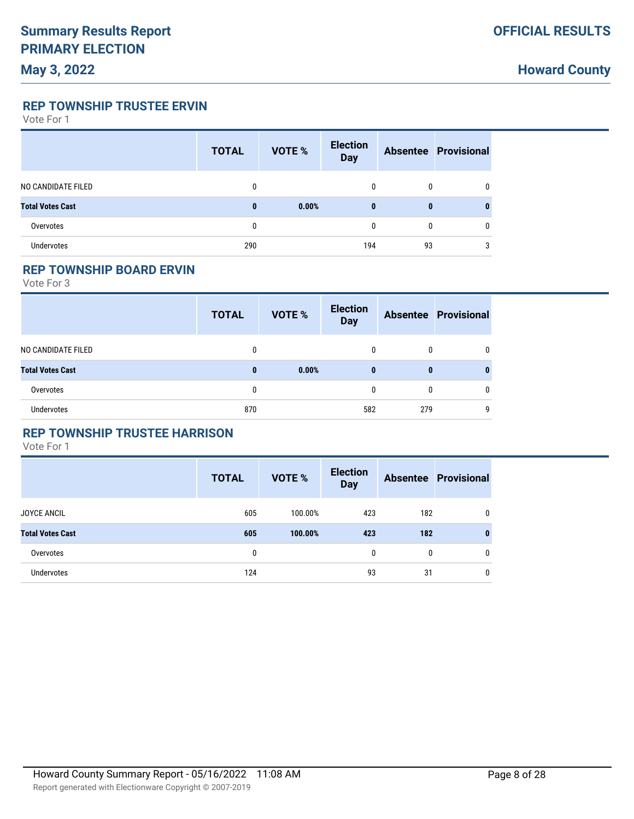**Howard County**

**REP TOWNSHIP TRUSTEE ERVIN**

Vote For 1

|                         | <b>TOTAL</b> | <b>VOTE %</b> | <b>Election</b><br><b>Day</b> |    | <b>Absentee Provisional</b> |
|-------------------------|--------------|---------------|-------------------------------|----|-----------------------------|
| NO CANDIDATE FILED      | 0            |               | 0                             | 0  | 0                           |
| <b>Total Votes Cast</b> | $\bf{0}$     | 0.00%         | $\bf{0}$                      | 0  | 0                           |
| Overvotes               | 0            |               | 0                             | 0  | 0                           |
| <b>Undervotes</b>       | 290          |               | 194                           | 93 | 3                           |

#### **REP TOWNSHIP BOARD ERVIN**

Vote For 3

|                         | <b>TOTAL</b> | VOTE % | <b>Election</b><br><b>Day</b> |     | <b>Absentee Provisional</b> |
|-------------------------|--------------|--------|-------------------------------|-----|-----------------------------|
| NO CANDIDATE FILED      | 0            |        | 0                             | 0   |                             |
| <b>Total Votes Cast</b> | $\bf{0}$     | 0.00%  | $\bf{0}$                      | 0   |                             |
| Overvotes               | 0            |        | 0                             | 0   |                             |
| Undervotes              | 870          |        | 582                           | 279 | q                           |

#### **REP TOWNSHIP TRUSTEE HARRISON**

|                         | <b>TOTAL</b> | <b>VOTE %</b> | <b>Election</b><br><b>Day</b> |     | <b>Absentee Provisional</b> |
|-------------------------|--------------|---------------|-------------------------------|-----|-----------------------------|
| <b>JOYCE ANCIL</b>      | 605          | 100.00%       | 423                           | 182 | 0                           |
| <b>Total Votes Cast</b> | 605          | 100.00%       | 423                           | 182 | $\mathbf{0}$                |
| Overvotes               | 0            |               | 0                             | 0   | $\mathbf{0}$                |
| <b>Undervotes</b>       | 124          |               | 93                            | 31  | 0                           |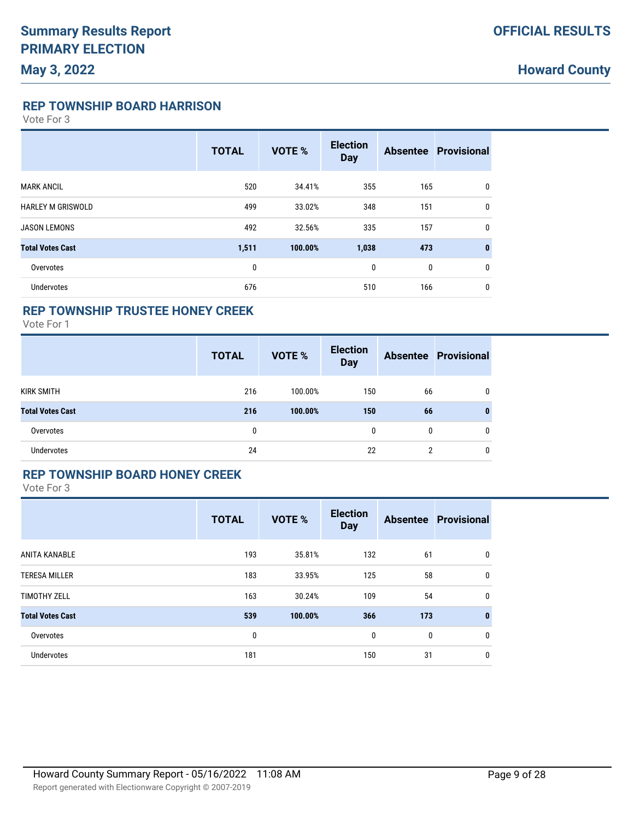**REP TOWNSHIP BOARD HARRISON**

Vote For 3

|                          | <b>TOTAL</b> | <b>VOTE %</b> | <b>Election</b><br><b>Day</b> |     | <b>Absentee Provisional</b> |
|--------------------------|--------------|---------------|-------------------------------|-----|-----------------------------|
| <b>MARK ANCIL</b>        | 520          | 34.41%        | 355                           | 165 | $\mathbf{0}$                |
| <b>HARLEY M GRISWOLD</b> | 499          | 33.02%        | 348                           | 151 | $\mathbf{0}$                |
| <b>JASON LEMONS</b>      | 492          | 32.56%        | 335                           | 157 | $\mathbf{0}$                |
| <b>Total Votes Cast</b>  | 1,511        | 100.00%       | 1,038                         | 473 | $\bf{0}$                    |
| Overvotes                | 0            |               | 0                             | 0   | $\mathbf{0}$                |
| <b>Undervotes</b>        | 676          |               | 510                           | 166 | $\mathbf{0}$                |

## **REP TOWNSHIP TRUSTEE HONEY CREEK**

Vote For 1

|                         | <b>TOTAL</b> | <b>VOTE %</b> | <b>Election</b><br><b>Day</b> |    | <b>Absentee Provisional</b> |
|-------------------------|--------------|---------------|-------------------------------|----|-----------------------------|
| KIRK SMITH              | 216          | 100.00%       | 150                           | 66 | 0                           |
| <b>Total Votes Cast</b> | 216          | 100.00%       | 150                           | 66 | 0                           |
| Overvotes               | 0            |               | $\mathbf{0}$                  | 0  | 0                           |
| Undervotes              | 24           |               | 22                            | ŋ  | 0                           |

#### **REP TOWNSHIP BOARD HONEY CREEK**

|                         | <b>TOTAL</b> | <b>VOTE %</b> | <b>Election</b><br><b>Day</b> |     | <b>Absentee Provisional</b> |
|-------------------------|--------------|---------------|-------------------------------|-----|-----------------------------|
| ANITA KANABLE           | 193          | 35.81%        | 132                           | 61  | 0                           |
| <b>TERESA MILLER</b>    | 183          | 33.95%        | 125                           | 58  | 0                           |
| <b>TIMOTHY ZELL</b>     | 163          | 30.24%        | 109                           | 54  | $\mathbf{0}$                |
| <b>Total Votes Cast</b> | 539          | 100.00%       | 366                           | 173 | $\bf{0}$                    |
| Overvotes               | 0            |               | 0                             | 0   | $\mathbf{0}$                |
| <b>Undervotes</b>       | 181          |               | 150                           | 31  | 0                           |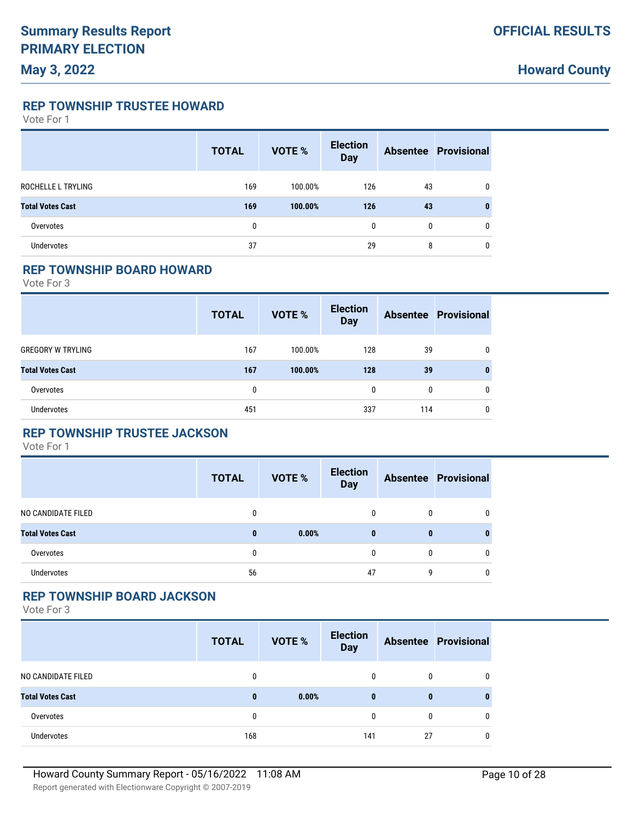**REP TOWNSHIP TRUSTEE HOWARD**

Vote For 1

|                         | <b>TOTAL</b> | <b>VOTE %</b> | <b>Election</b><br><b>Day</b> |    | <b>Absentee Provisional</b> |
|-------------------------|--------------|---------------|-------------------------------|----|-----------------------------|
| ROCHELLE L TRYLING      | 169          | 100.00%       | 126                           | 43 | $\mathbf{0}$                |
| <b>Total Votes Cast</b> | 169          | 100.00%       | 126                           | 43 | $\bf{0}$                    |
| Overvotes               | 0            |               | 0                             | 0  | $\mathbf{0}$                |
| <b>Undervotes</b>       | 37           |               | 29                            | 8  | 0                           |

#### **REP TOWNSHIP BOARD HOWARD**

Vote For 3

|                          | <b>TOTAL</b> | VOTE %  | <b>Election</b><br><b>Day</b> |     | <b>Absentee Provisional</b> |
|--------------------------|--------------|---------|-------------------------------|-----|-----------------------------|
| <b>GREGORY W TRYLING</b> | 167          | 100.00% | 128                           | 39  |                             |
| <b>Total Votes Cast</b>  | 167          | 100.00% | 128                           | 39  | 0                           |
| Overvotes                | 0            |         | 0                             | 0   | 0                           |
| <b>Undervotes</b>        | 451          |         | 337                           | 114 | 0                           |

### **REP TOWNSHIP TRUSTEE JACKSON**

Vote For 1

|                         | <b>TOTAL</b> | <b>VOTE %</b> | <b>Election</b><br><b>Day</b> |              | <b>Absentee Provisional</b> |
|-------------------------|--------------|---------------|-------------------------------|--------------|-----------------------------|
| NO CANDIDATE FILED      | 0            |               | 0                             | $\mathbf{0}$ | 0                           |
| <b>Total Votes Cast</b> | $\bf{0}$     | 0.00%         | $\bf{0}$                      | 0            | 0                           |
| Overvotes               | 0            |               | $\Omega$                      | 0            | 0                           |
| <b>Undervotes</b>       | 56           |               | 47                            | g            | 0                           |

#### **REP TOWNSHIP BOARD JACKSON**

|                         | <b>TOTAL</b> | <b>VOTE %</b> | <b>Election</b><br><b>Day</b> |    | <b>Absentee Provisional</b> |
|-------------------------|--------------|---------------|-------------------------------|----|-----------------------------|
| NO CANDIDATE FILED      | 0            |               | 0                             | 0  |                             |
| <b>Total Votes Cast</b> | $\bf{0}$     | 0.00%         | $\bf{0}$                      | 0  |                             |
| Overvotes               | 0            |               | 0                             | 0  |                             |
| <b>Undervotes</b>       | 168          |               | 141                           | 27 |                             |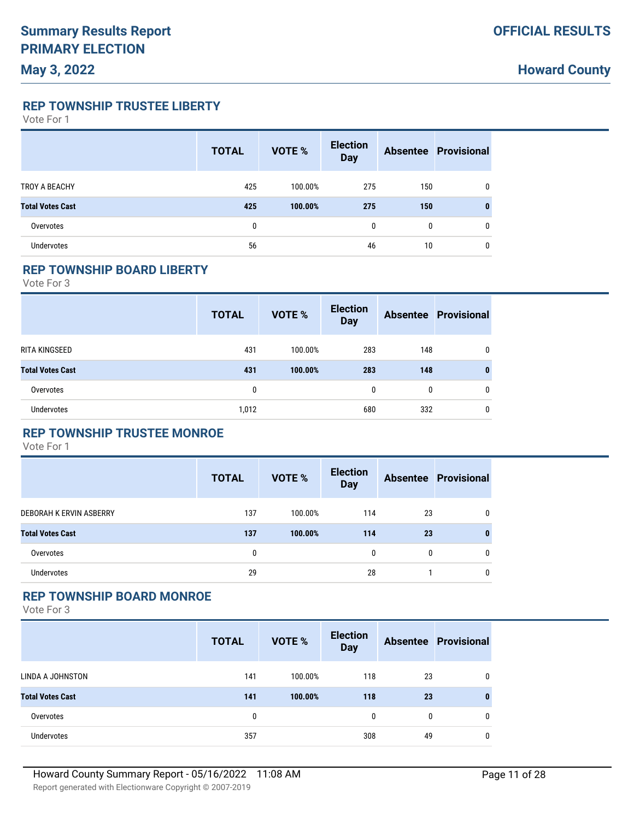**REP TOWNSHIP TRUSTEE LIBERTY**

Vote For 1

|                         | <b>TOTAL</b> | <b>VOTE %</b> | <b>Election</b><br><b>Day</b> |     | <b>Absentee Provisional</b> |
|-------------------------|--------------|---------------|-------------------------------|-----|-----------------------------|
| TROY A BEACHY           | 425          | 100.00%       | 275                           | 150 | 0                           |
| <b>Total Votes Cast</b> | 425          | 100.00%       | 275                           | 150 | 0                           |
| Overvotes               | 0            |               | $\mathbf{0}$                  | 0   | 0                           |
| <b>Undervotes</b>       | 56           |               | 46                            | 10  | 0                           |

#### **REP TOWNSHIP BOARD LIBERTY**

Vote For 3

|                         | <b>TOTAL</b> | VOTE %  | <b>Election</b><br><b>Day</b> |     | <b>Absentee Provisional</b> |
|-------------------------|--------------|---------|-------------------------------|-----|-----------------------------|
| RITA KINGSEED           | 431          | 100.00% | 283                           | 148 | 0                           |
| <b>Total Votes Cast</b> | 431          | 100.00% | 283                           | 148 | 0                           |
| Overvotes               | 0            |         | 0                             | 0   | 0                           |
| <b>Undervotes</b>       | 1,012        |         | 680                           | 332 | 0                           |

### **REP TOWNSHIP TRUSTEE MONROE**

Vote For 1

|                         | <b>TOTAL</b> | <b>VOTE %</b> | <b>Election</b><br><b>Day</b> |              | <b>Absentee Provisional</b> |
|-------------------------|--------------|---------------|-------------------------------|--------------|-----------------------------|
| DEBORAH K ERVIN ASBERRY | 137          | 100.00%       | 114                           | 23           | $\mathbf{0}$                |
| <b>Total Votes Cast</b> | 137          | 100.00%       | 114                           | 23           | 0                           |
| Overvotes               | 0            |               | 0                             | $\mathbf{0}$ | $\mathbf{0}$                |
| Undervotes              | 29           |               | 28                            |              | $\mathbf{0}$                |

#### **REP TOWNSHIP BOARD MONROE**

|                         | <b>TOTAL</b> | <b>VOTE %</b> | <b>Election</b><br><b>Day</b> |    | <b>Absentee Provisional</b> |
|-------------------------|--------------|---------------|-------------------------------|----|-----------------------------|
| LINDA A JOHNSTON        | 141          | 100.00%       | 118                           | 23 | 0                           |
| <b>Total Votes Cast</b> | 141          | 100.00%       | 118                           | 23 | 0                           |
| Overvotes               | 0            |               | 0                             | 0  | 0                           |
| <b>Undervotes</b>       | 357          |               | 308                           | 49 | 0                           |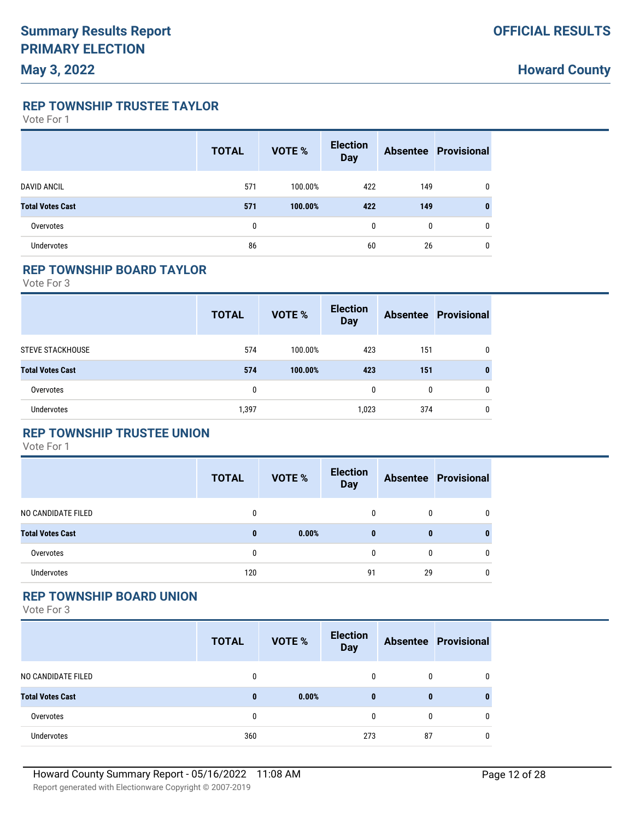**REP TOWNSHIP TRUSTEE TAYLOR**

Vote For 1

|                         | <b>TOTAL</b> | <b>VOTE %</b> | <b>Election</b><br><b>Day</b> |     | <b>Absentee Provisional</b> |
|-------------------------|--------------|---------------|-------------------------------|-----|-----------------------------|
| <b>DAVID ANCIL</b>      | 571          | 100.00%       | 422                           | 149 | $\mathbf{0}$                |
| <b>Total Votes Cast</b> | 571          | 100.00%       | 422                           | 149 | 0                           |
| Overvotes               | 0            |               | $\mathbf{0}$                  | 0   | $\mathbf{0}$                |
| <b>Undervotes</b>       | 86           |               | 60                            | 26  | 0                           |

#### **REP TOWNSHIP BOARD TAYLOR**

Vote For 3

|                         | <b>TOTAL</b> | VOTE %  | <b>Election</b><br><b>Day</b> |     | <b>Absentee Provisional</b> |
|-------------------------|--------------|---------|-------------------------------|-----|-----------------------------|
| <b>STEVE STACKHOUSE</b> | 574          | 100.00% | 423                           | 151 | 0                           |
| <b>Total Votes Cast</b> | 574          | 100.00% | 423                           | 151 | 0                           |
| Overvotes               | 0            |         | $\mathbf{0}$                  | 0   | 0                           |
| <b>Undervotes</b>       | 1,397        |         | 1,023                         | 374 | 0                           |

### **REP TOWNSHIP TRUSTEE UNION**

Vote For 1

|                         | <b>TOTAL</b> | <b>VOTE %</b> | <b>Election</b><br><b>Day</b> |              | <b>Absentee Provisional</b> |
|-------------------------|--------------|---------------|-------------------------------|--------------|-----------------------------|
| NO CANDIDATE FILED      | 0            |               | 0                             | $\mathbf{0}$ | $\mathbf{0}$                |
| <b>Total Votes Cast</b> | $\bf{0}$     | 0.00%         | $\mathbf{0}$                  | $\bf{0}$     | 0                           |
| Overvotes               | 0            |               | 0                             | $\mathbf{0}$ | $\mathbf{0}$                |
| <b>Undervotes</b>       | 120          |               | 91                            | 29           | $\mathbf{0}$                |

#### **REP TOWNSHIP BOARD UNION**

|                         | <b>TOTAL</b> | <b>VOTE %</b> | <b>Election</b><br><b>Day</b> |    | <b>Absentee Provisional</b> |
|-------------------------|--------------|---------------|-------------------------------|----|-----------------------------|
| NO CANDIDATE FILED      | 0            |               | $\mathbf{0}$                  | 0  |                             |
| <b>Total Votes Cast</b> | $\bf{0}$     | 0.00%         | $\bf{0}$                      | 0  |                             |
| Overvotes               | 0            |               | 0                             | 0  |                             |
| Undervotes              | 360          |               | 273                           | 87 |                             |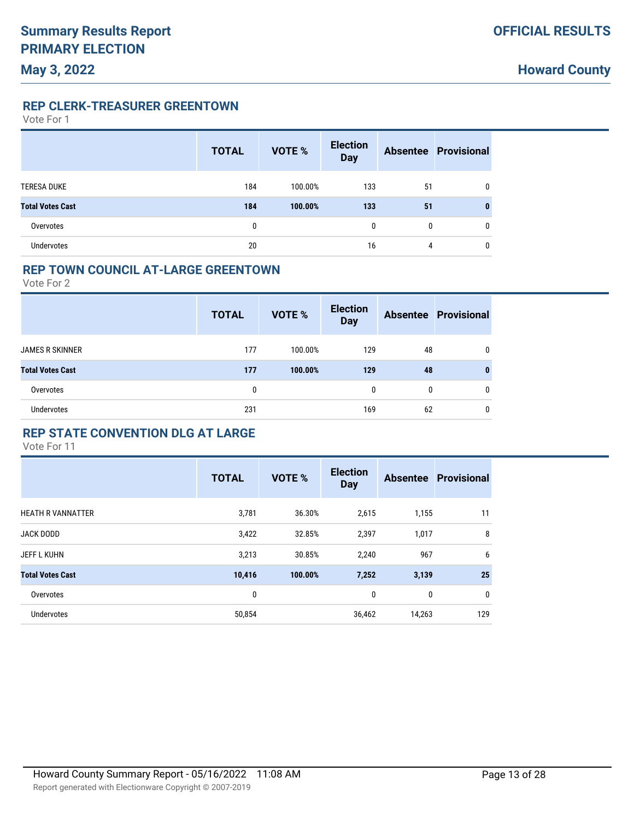**REP CLERK-TREASURER GREENTOWN**

Vote For 1

**May 3, 2022**

|                         | <b>TOTAL</b> | VOTE %  | <b>Election</b><br><b>Day</b> |    | <b>Absentee Provisional</b> |
|-------------------------|--------------|---------|-------------------------------|----|-----------------------------|
| <b>TERESA DUKE</b>      | 184          | 100.00% | 133                           | 51 | 0                           |
| <b>Total Votes Cast</b> | 184          | 100.00% | 133                           | 51 | 0                           |
| Overvotes               | 0            |         | $\mathbf{0}$                  | 0  | 0                           |
| <b>Undervotes</b>       | 20           |         | 16                            | 4  | 0                           |

#### **REP TOWN COUNCIL AT-LARGE GREENTOWN**

Vote For 2

|                         | <b>TOTAL</b> | <b>VOTE %</b> | <b>Election</b><br><b>Day</b> |    | <b>Absentee Provisional</b> |
|-------------------------|--------------|---------------|-------------------------------|----|-----------------------------|
| <b>JAMES R SKINNER</b>  | 177          | 100.00%       | 129                           | 48 | 0                           |
| <b>Total Votes Cast</b> | 177          | 100.00%       | 129                           | 48 | 0                           |
| Overvotes               | 0            |               | 0                             | 0  | 0                           |
| <b>Undervotes</b>       | 231          |               | 169                           | 62 | 0                           |

#### **REP STATE CONVENTION DLG AT LARGE**

|                          | <b>TOTAL</b> | <b>VOTE %</b> | <b>Election</b><br><b>Day</b> |        | <b>Absentee Provisional</b> |
|--------------------------|--------------|---------------|-------------------------------|--------|-----------------------------|
| <b>HEATH R VANNATTER</b> | 3,781        | 36.30%        | 2,615                         | 1,155  | 11                          |
| <b>JACK DODD</b>         | 3,422        | 32.85%        | 2,397                         | 1,017  | 8                           |
| <b>JEFF L KUHN</b>       | 3,213        | 30.85%        | 2,240                         | 967    | 6                           |
| <b>Total Votes Cast</b>  | 10,416       | 100.00%       | 7,252                         | 3,139  | 25                          |
| Overvotes                | 0            |               | 0                             | 0      | $\mathbf 0$                 |
| <b>Undervotes</b>        | 50,854       |               | 36,462                        | 14,263 | 129                         |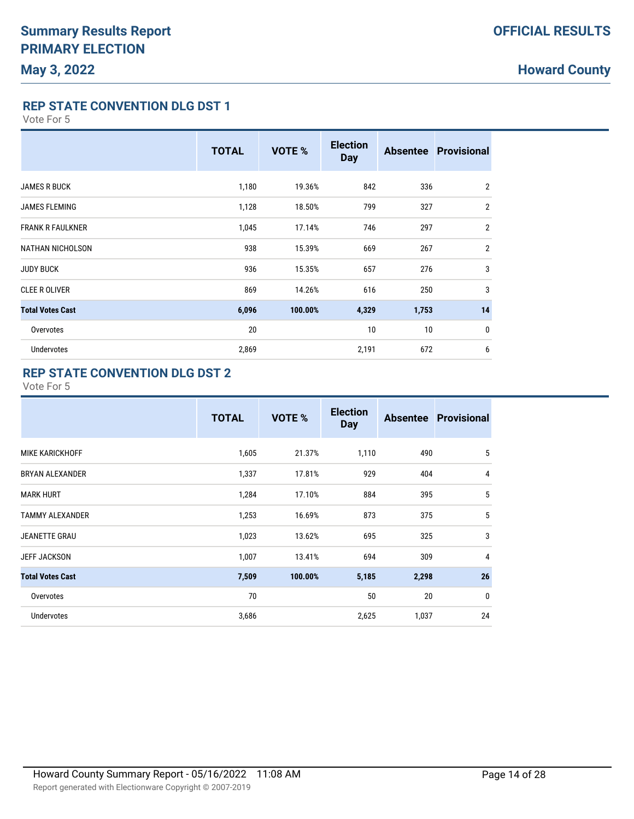**REP STATE CONVENTION DLG DST 1**

Vote For 5

|                         | <b>TOTAL</b> | <b>VOTE %</b> | <b>Election</b><br><b>Day</b> |       | <b>Absentee Provisional</b> |
|-------------------------|--------------|---------------|-------------------------------|-------|-----------------------------|
| <b>JAMES R BUCK</b>     | 1,180        | 19.36%        | 842                           | 336   | $\overline{2}$              |
| <b>JAMES FLEMING</b>    | 1,128        | 18.50%        | 799                           | 327   | $\overline{2}$              |
| <b>FRANK R FAULKNER</b> | 1,045        | 17.14%        | 746                           | 297   | $\overline{2}$              |
| <b>NATHAN NICHOLSON</b> | 938          | 15.39%        | 669                           | 267   | $\overline{2}$              |
| <b>JUDY BUCK</b>        | 936          | 15.35%        | 657                           | 276   | 3                           |
| <b>CLEE R OLIVER</b>    | 869          | 14.26%        | 616                           | 250   | 3                           |
| <b>Total Votes Cast</b> | 6,096        | 100.00%       | 4,329                         | 1,753 | 14                          |
| Overvotes               | 20           |               | 10                            | 10    | 0                           |
| <b>Undervotes</b>       | 2,869        |               | 2,191                         | 672   | 6                           |

### **REP STATE CONVENTION DLG DST 2**

|                         | <b>TOTAL</b> | <b>VOTE %</b> | <b>Election</b><br><b>Day</b> |       | <b>Absentee Provisional</b> |
|-------------------------|--------------|---------------|-------------------------------|-------|-----------------------------|
| <b>MIKE KARICKHOFF</b>  | 1,605        | 21.37%        | 1,110                         | 490   | 5                           |
| <b>BRYAN ALEXANDER</b>  | 1,337        | 17.81%        | 929                           | 404   | $\overline{4}$              |
| <b>MARK HURT</b>        | 1,284        | 17.10%        | 884                           | 395   | 5                           |
| <b>TAMMY ALEXANDER</b>  | 1,253        | 16.69%        | 873                           | 375   | 5                           |
| JEANETTE GRAU           | 1,023        | 13.62%        | 695                           | 325   | 3                           |
| <b>JEFF JACKSON</b>     | 1,007        | 13.41%        | 694                           | 309   | $\overline{4}$              |
| <b>Total Votes Cast</b> | 7,509        | 100.00%       | 5,185                         | 2,298 | 26                          |
| Overvotes               | 70           |               | 50                            | 20    | $\mathbf{0}$                |
| <b>Undervotes</b>       | 3,686        |               | 2,625                         | 1,037 | 24                          |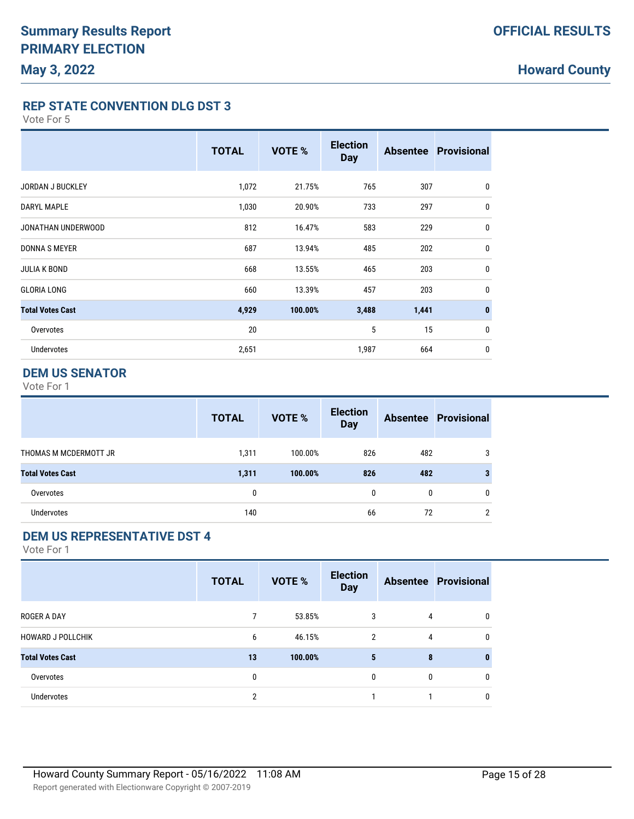**REP STATE CONVENTION DLG DST 3**

Vote For 5

|                         | <b>TOTAL</b> | <b>VOTE %</b> | <b>Election</b><br><b>Day</b> |       | <b>Absentee Provisional</b> |
|-------------------------|--------------|---------------|-------------------------------|-------|-----------------------------|
| <b>JORDAN J BUCKLEY</b> | 1,072        | 21.75%        | 765                           | 307   | $\mathbf 0$                 |
| <b>DARYL MAPLE</b>      | 1,030        | 20.90%        | 733                           | 297   | 0                           |
| JONATHAN UNDERWOOD      | 812          | 16.47%        | 583                           | 229   | 0                           |
| <b>DONNA S MEYER</b>    | 687          | 13.94%        | 485                           | 202   | 0                           |
| <b>JULIA K BOND</b>     | 668          | 13.55%        | 465                           | 203   | 0                           |
| <b>GLORIA LONG</b>      | 660          | 13.39%        | 457                           | 203   | $\mathbf{0}$                |
| <b>Total Votes Cast</b> | 4,929        | 100.00%       | 3,488                         | 1,441 | $\mathbf{0}$                |
| Overvotes               | 20           |               | 5                             | 15    | 0                           |
| <b>Undervotes</b>       | 2,651        |               | 1,987                         | 664   | 0                           |

### **DEM US SENATOR**

Vote For 1

| <b>Absentee Provisional</b> |
|-----------------------------|
|                             |
|                             |
|                             |
| n                           |
|                             |

### **DEM US REPRESENTATIVE DST 4**

|                          | <b>TOTAL</b> | VOTE %  | <b>Election</b><br><b>Day</b> |              | <b>Absentee Provisional</b> |
|--------------------------|--------------|---------|-------------------------------|--------------|-----------------------------|
| <b>ROGER A DAY</b>       | 7            | 53.85%  | 3                             | 4            | $\mathbf{0}$                |
| <b>HOWARD J POLLCHIK</b> | 6            | 46.15%  | 2                             | 4            | $\mathbf{0}$                |
| <b>Total Votes Cast</b>  | 13           | 100.00% | 5                             | 8            | $\bf{0}$                    |
| Overvotes                | 0            |         | $\mathbf{0}$                  | $\mathbf{0}$ | $\mathbf{0}$                |
| Undervotes               | 2            |         |                               |              | 0                           |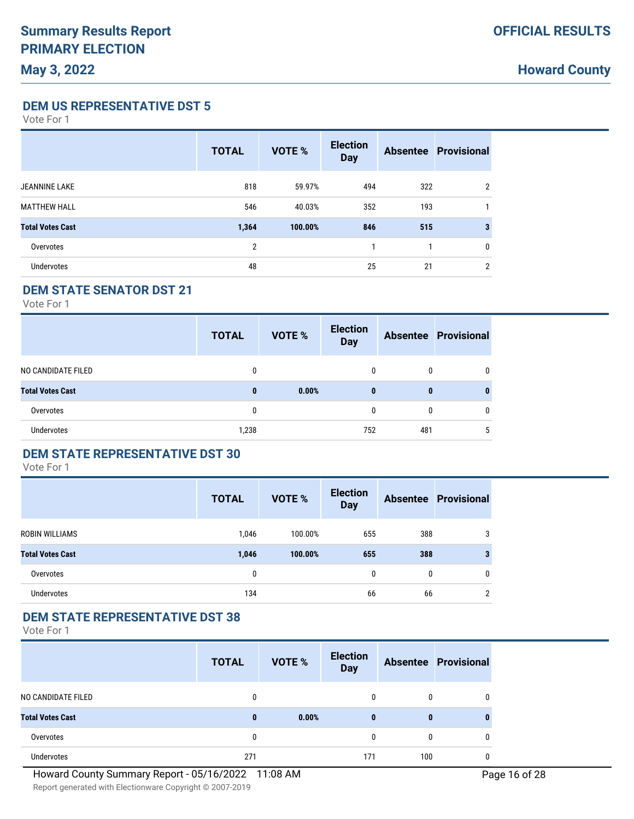**DEM US REPRESENTATIVE DST 5**

Vote For 1

**May 3, 2022**

|                         | <b>TOTAL</b>   | <b>VOTE %</b> | <b>Election</b><br><b>Day</b> |     | <b>Absentee Provisional</b> |
|-------------------------|----------------|---------------|-------------------------------|-----|-----------------------------|
| <b>JEANNINE LAKE</b>    | 818            | 59.97%        | 494                           | 322 | 2                           |
| <b>MATTHEW HALL</b>     | 546            | 40.03%        | 352                           | 193 |                             |
| <b>Total Votes Cast</b> | 1,364          | 100.00%       | 846                           | 515 |                             |
| Overvotes               | $\overline{2}$ |               |                               |     | 0                           |
| Undervotes              | 48             |               | 25                            | 21  | $\overline{2}$              |

### **DEM STATE SENATOR DST 21**

Vote For 1

|                         | <b>TOTAL</b> | <b>VOTE %</b> | <b>Election</b><br><b>Day</b> |     | <b>Absentee Provisional</b> |
|-------------------------|--------------|---------------|-------------------------------|-----|-----------------------------|
| NO CANDIDATE FILED      | $\mathbf{0}$ |               | 0                             | 0   | 0                           |
| <b>Total Votes Cast</b> | $\bf{0}$     | 0.00%         | $\bf{0}$                      | 0   | 0                           |
| Overvotes               | 0            |               | 0                             | 0   | 0                           |
| Undervotes              | 1,238        |               | 752                           | 481 | 5                           |

#### **DEM STATE REPRESENTATIVE DST 30**

Vote For 1

|                         | <b>TOTAL</b> | <b>VOTE %</b> | <b>Election</b><br><b>Day</b> |     | <b>Absentee Provisional</b> |
|-------------------------|--------------|---------------|-------------------------------|-----|-----------------------------|
| <b>ROBIN WILLIAMS</b>   | 1,046        | 100.00%       | 655                           | 388 | 3                           |
| <b>Total Votes Cast</b> | 1,046        | 100.00%       | 655                           | 388 | 3                           |
| Overvotes               | 0            |               | $\mathbf{0}$                  | 0   | $\mathbf{0}$                |
| <b>Undervotes</b>       | 134          |               | 66                            | 66  | $\overline{2}$              |

#### **DEM STATE REPRESENTATIVE DST 38**

|                         | <b>TOTAL</b> | VOTE % | <b>Election</b><br><b>Day</b> |     | <b>Absentee Provisional</b> |
|-------------------------|--------------|--------|-------------------------------|-----|-----------------------------|
| NO CANDIDATE FILED      | 0            |        |                               | 0   |                             |
| <b>Total Votes Cast</b> | $\bf{0}$     | 0.00%  | $\bf{0}$                      | 0   |                             |
| Overvotes               | 0            |        |                               | 0   |                             |
| <b>Undervotes</b>       | 271          |        | 171                           | 100 |                             |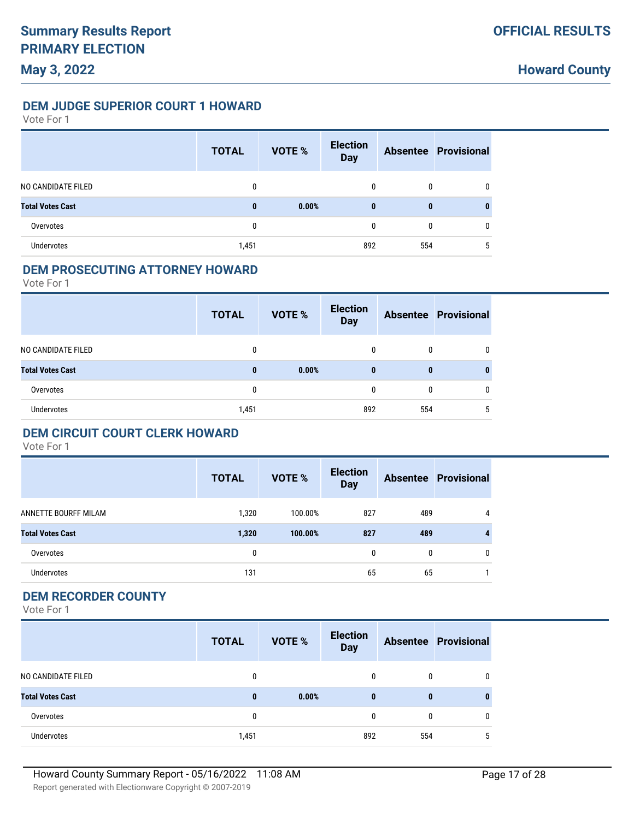#### **DEM JUDGE SUPERIOR COURT 1 HOWARD**

Vote For 1

|                         | <b>TOTAL</b> | <b>VOTE %</b> | <b>Election</b><br><b>Day</b> |     | <b>Absentee Provisional</b> |
|-------------------------|--------------|---------------|-------------------------------|-----|-----------------------------|
| NO CANDIDATE FILED      | $\mathbf{0}$ |               | 0                             | 0   | 0                           |
| <b>Total Votes Cast</b> | $\bf{0}$     | 0.00%         | $\bf{0}$                      | 0   | 0                           |
| Overvotes               | 0            |               | 0                             | 0   | $\mathbf{0}$                |
| <b>Undervotes</b>       | 1,451        |               | 892                           | 554 | 5                           |

#### **DEM PROSECUTING ATTORNEY HOWARD**

Vote For 1

|                         | <b>TOTAL</b> | VOTE % | <b>Election</b><br><b>Day</b> |     | <b>Absentee Provisional</b> |
|-------------------------|--------------|--------|-------------------------------|-----|-----------------------------|
| NO CANDIDATE FILED      | 0            |        | 0                             | 0   |                             |
| <b>Total Votes Cast</b> | $\bf{0}$     | 0.00%  | $\bf{0}$                      | 0   |                             |
| Overvotes               | 0            |        | 0                             | 0   |                             |
| <b>Undervotes</b>       | 1,451        |        | 892                           | 554 |                             |

### **DEM CIRCUIT COURT CLERK HOWARD**

Vote For 1

|                         | <b>TOTAL</b> | <b>VOTE %</b> | <b>Election</b><br><b>Day</b> |     | <b>Absentee Provisional</b> |
|-------------------------|--------------|---------------|-------------------------------|-----|-----------------------------|
| ANNETTE BOURFF MILAM    | 1,320        | 100.00%       | 827                           | 489 | 4                           |
| <b>Total Votes Cast</b> | 1,320        | 100.00%       | 827                           | 489 | $\overline{4}$              |
| Overvotes               | 0            |               | 0                             | 0   | $\mathbf{0}$                |
| <b>Undervotes</b>       | 131          |               | 65                            | 65  |                             |

#### **DEM RECORDER COUNTY**

|                         | <b>TOTAL</b> | <b>VOTE %</b> | <b>Election</b><br><b>Day</b> |     | <b>Absentee Provisional</b> |
|-------------------------|--------------|---------------|-------------------------------|-----|-----------------------------|
| NO CANDIDATE FILED      | 0            |               | 0                             | 0   |                             |
| <b>Total Votes Cast</b> | $\mathbf{0}$ | 0.00%         | $\bf{0}$                      | 0   |                             |
| Overvotes               | 0            |               | 0                             | 0   |                             |
| Undervotes              | 1,451        |               | 892                           | 554 | 5                           |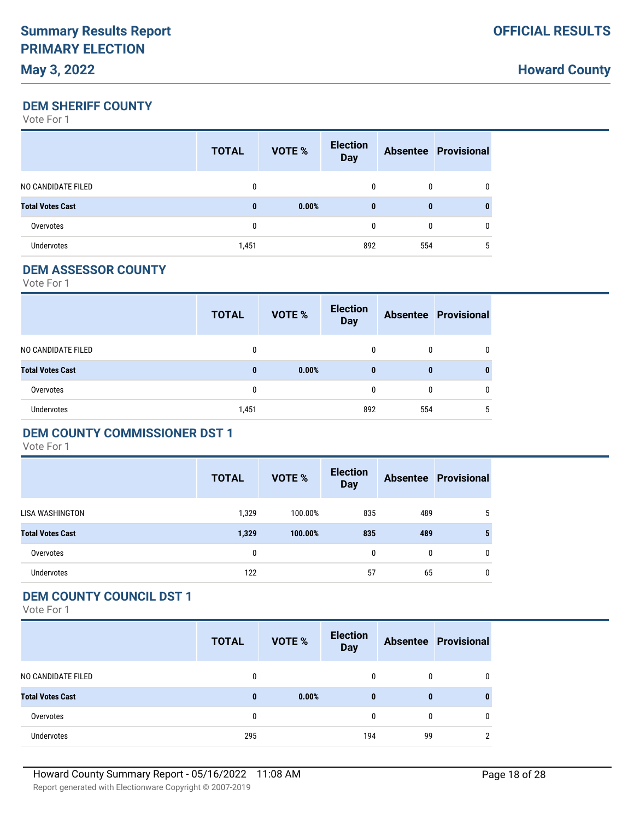**Howard County**

#### **DEM SHERIFF COUNTY**

Vote For 1

|                         | <b>TOTAL</b> | VOTE % | <b>Election</b><br><b>Day</b> |     | <b>Absentee Provisional</b> |
|-------------------------|--------------|--------|-------------------------------|-----|-----------------------------|
| NO CANDIDATE FILED      |              |        | 0                             | 0   | 0                           |
| <b>Total Votes Cast</b> | $\bf{0}$     | 0.00%  | $\bf{0}$                      | 0   | 0                           |
| Overvotes               | 0            |        | $\mathbf{0}$                  | 0   | 0                           |
| <b>Undervotes</b>       | 1,451        |        | 892                           | 554 | 5                           |

#### **DEM ASSESSOR COUNTY**

Vote For 1

|                         | <b>TOTAL</b> | <b>VOTE %</b> | <b>Election</b><br><b>Day</b> |     | <b>Absentee Provisional</b> |
|-------------------------|--------------|---------------|-------------------------------|-----|-----------------------------|
| NO CANDIDATE FILED      |              |               | $\Omega$                      | 0   | 0                           |
| <b>Total Votes Cast</b> | $\bf{0}$     | 0.00%         | $\bf{0}$                      | 0   |                             |
| Overvotes               | 0            |               | 0                             | 0   | 0                           |
| <b>Undervotes</b>       | 1,451        |               | 892                           | 554 | 5                           |

#### **DEM COUNTY COMMISSIONER DST 1**

Vote For 1

|                         | <b>TOTAL</b> | <b>VOTE %</b> | <b>Election</b><br><b>Day</b> |     | <b>Absentee Provisional</b> |
|-------------------------|--------------|---------------|-------------------------------|-----|-----------------------------|
| LISA WASHINGTON         | 1,329        | 100.00%       | 835                           | 489 | 5                           |
| <b>Total Votes Cast</b> | 1,329        | 100.00%       | 835                           | 489 | 5                           |
| Overvotes               | 0            |               | 0                             | 0   | $\mathbf{0}$                |
| <b>Undervotes</b>       | 122          |               | 57                            | 65  | 0                           |

### **DEM COUNTY COUNCIL DST 1**

|                         | <b>TOTAL</b> | <b>VOTE %</b> | <b>Election</b><br><b>Day</b> |    | <b>Absentee Provisional</b> |
|-------------------------|--------------|---------------|-------------------------------|----|-----------------------------|
| NO CANDIDATE FILED      | 0            |               | 0                             | 0  |                             |
| <b>Total Votes Cast</b> | 0            | 0.00%         | $\bf{0}$                      | 0  |                             |
| Overvotes               | 0            |               | 0                             | 0  |                             |
| <b>Undervotes</b>       | 295          |               | 194                           | 99 |                             |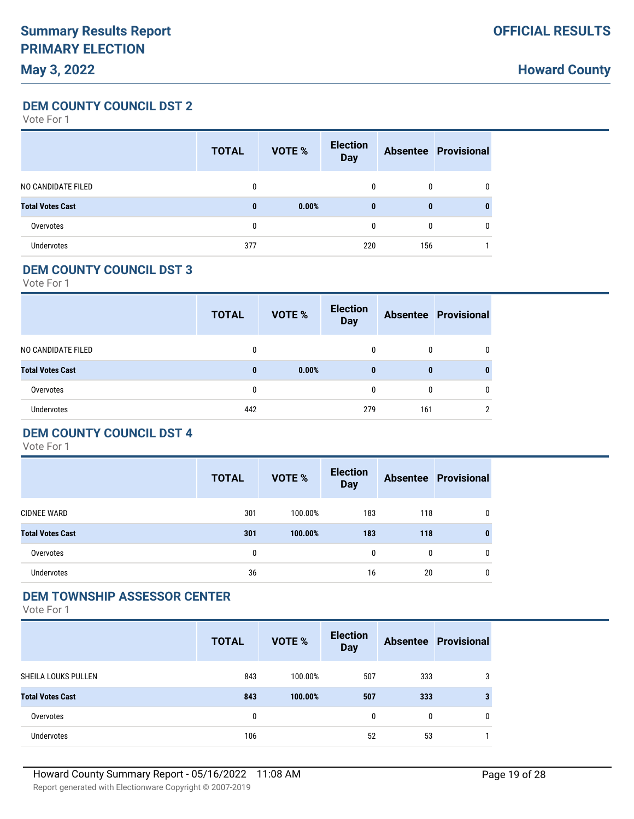**Howard County**

**DEM COUNTY COUNCIL DST 2**

Vote For 1

|                         | <b>TOTAL</b> | <b>VOTE %</b> | <b>Election</b><br><b>Day</b> |     | <b>Absentee Provisional</b> |
|-------------------------|--------------|---------------|-------------------------------|-----|-----------------------------|
| NO CANDIDATE FILED      | 0            |               | $\mathbf{0}$                  | 0   | 0                           |
| <b>Total Votes Cast</b> | $\mathbf{0}$ | 0.00%         | $\bf{0}$                      | 0   | 0                           |
| Overvotes               | 0            |               | $\mathbf{0}$                  | 0   | 0                           |
| <b>Undervotes</b>       | 377          |               | 220                           | 156 |                             |

### **DEM COUNTY COUNCIL DST 3**

Vote For 1

|                         | <b>TOTAL</b> | VOTE % | <b>Election</b><br><b>Day</b> |     | <b>Absentee Provisional</b> |
|-------------------------|--------------|--------|-------------------------------|-----|-----------------------------|
| NO CANDIDATE FILED      | 0            |        | 0                             | 0   |                             |
| <b>Total Votes Cast</b> | $\bf{0}$     | 0.00%  | $\bf{0}$                      | 0   |                             |
| Overvotes               | 0            |        | 0                             | 0   |                             |
| <b>Undervotes</b>       | 442          |        | 279                           | 161 |                             |

# **DEM COUNTY COUNCIL DST 4**

Vote For 1

|                         | <b>TOTAL</b> | <b>VOTE %</b> | <b>Election</b><br><b>Day</b> |              | <b>Absentee Provisional</b> |
|-------------------------|--------------|---------------|-------------------------------|--------------|-----------------------------|
| <b>CIDNEE WARD</b>      | 301          | 100.00%       | 183                           | 118          | $\mathbf{0}$                |
| <b>Total Votes Cast</b> | 301          | 100.00%       | 183                           | 118          | $\mathbf{0}$                |
| Overvotes               | 0            |               | $\mathbf{0}$                  | $\mathbf{0}$ | $\mathbf{0}$                |
| <b>Undervotes</b>       | 36           |               | 16                            | 20           | 0                           |

#### **DEM TOWNSHIP ASSESSOR CENTER**

|                         | <b>TOTAL</b> | <b>VOTE %</b> | <b>Election</b><br><b>Day</b> |     | <b>Absentee Provisional</b> |
|-------------------------|--------------|---------------|-------------------------------|-----|-----------------------------|
| SHEILA LOUKS PULLEN     | 843          | 100.00%       | 507                           | 333 | 3                           |
| <b>Total Votes Cast</b> | 843          | 100.00%       | 507                           | 333 | 3                           |
| Overvotes               | 0            |               | 0                             | 0   | 0                           |
| <b>Undervotes</b>       | 106          |               | 52                            | 53  |                             |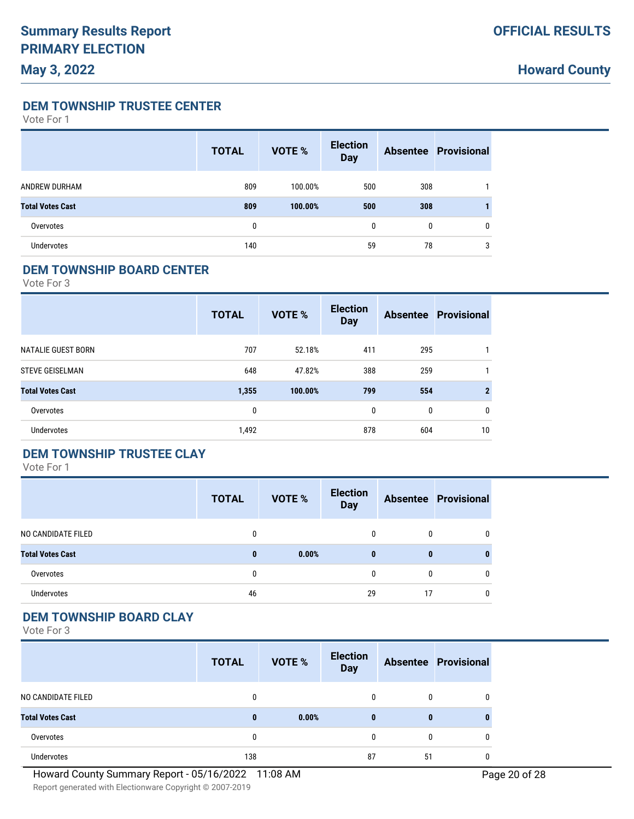**DEM TOWNSHIP TRUSTEE CENTER**

Vote For 1

|                         | <b>TOTAL</b> | <b>VOTE %</b> | <b>Election</b><br><b>Day</b> |     | <b>Absentee Provisional</b> |
|-------------------------|--------------|---------------|-------------------------------|-----|-----------------------------|
| ANDREW DURHAM           | 809          | 100.00%       | 500                           | 308 |                             |
| <b>Total Votes Cast</b> | 809          | 100.00%       | 500                           | 308 |                             |
| Overvotes               | 0            |               | $\mathbf{0}$                  | 0   | $\mathbf{0}$                |
| <b>Undervotes</b>       | 140          |               | 59                            | 78  | 3                           |

#### **DEM TOWNSHIP BOARD CENTER**

Vote For 3

|                         | <b>TOTAL</b> | VOTE %  | <b>Election</b><br><b>Day</b> |     | <b>Absentee Provisional</b> |
|-------------------------|--------------|---------|-------------------------------|-----|-----------------------------|
| NATALIE GUEST BORN      | 707          | 52.18%  | 411                           | 295 |                             |
| <b>STEVE GEISELMAN</b>  | 648          | 47.82%  | 388                           | 259 |                             |
| <b>Total Votes Cast</b> | 1,355        | 100.00% | 799                           | 554 | 2                           |
| Overvotes               | 0            |         | 0                             | 0   | 0                           |
| Undervotes              | 1,492        |         | 878                           | 604 | 10                          |

### **DEM TOWNSHIP TRUSTEE CLAY**

Vote For 1

|                         | <b>TOTAL</b> | <b>VOTE %</b> | <b>Election</b><br><b>Day</b> |    | <b>Absentee Provisional</b> |
|-------------------------|--------------|---------------|-------------------------------|----|-----------------------------|
| NO CANDIDATE FILED      | 0            |               | 0                             | 0  | 0                           |
| <b>Total Votes Cast</b> | $\bf{0}$     | 0.00%         | $\bf{0}$                      | 0  | 0                           |
| Overvotes               | 0            |               | 0                             | 0  | 0                           |
| Undervotes              | 46           |               | 29                            | 17 | 0                           |

# **DEM TOWNSHIP BOARD CLAY**

|                         | <b>TOTAL</b> | VOTE % | <b>Election</b><br><b>Day</b> |    | <b>Absentee Provisional</b> |
|-------------------------|--------------|--------|-------------------------------|----|-----------------------------|
| NO CANDIDATE FILED      | 0            |        | 0                             | 0  | 0                           |
| <b>Total Votes Cast</b> | $\bf{0}$     | 0.00%  | $\bf{0}$                      | 0  |                             |
| Overvotes               | 0            |        | 0                             | 0  |                             |
| <b>Undervotes</b>       | 138          |        | 87                            | 51 |                             |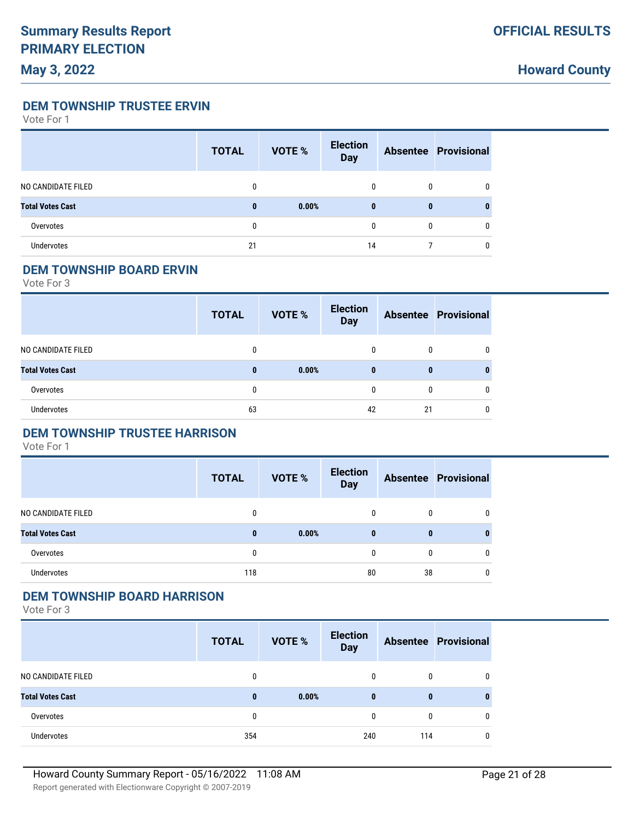**Howard County**

**DEM TOWNSHIP TRUSTEE ERVIN**

Vote For 1

|                         | <b>TOTAL</b> | VOTE % | <b>Election</b><br><b>Day</b> |   | <b>Absentee Provisional</b> |
|-------------------------|--------------|--------|-------------------------------|---|-----------------------------|
| NO CANDIDATE FILED      | 0            |        | 0                             | 0 |                             |
| <b>Total Votes Cast</b> | $\bf{0}$     | 0.00%  | $\bf{0}$                      | 0 |                             |
| Overvotes               | 0            |        | 0                             | 0 | 0                           |
| <b>Undervotes</b>       | 21           |        | 14                            |   |                             |

#### **DEM TOWNSHIP BOARD ERVIN**

Vote For 3

|                         | <b>TOTAL</b> | <b>VOTE %</b> | <b>Election</b><br><b>Day</b> |    | <b>Absentee Provisional</b> |
|-------------------------|--------------|---------------|-------------------------------|----|-----------------------------|
| NO CANDIDATE FILED      |              |               | 0                             | 0  |                             |
| <b>Total Votes Cast</b> | $\bf{0}$     | 0.00%         | $\bf{0}$                      | 0  |                             |
| Overvotes               | 0            |               | 0                             | 0  | 0                           |
| <b>Undervotes</b>       | 63           |               | 42                            | 21 |                             |

### **DEM TOWNSHIP TRUSTEE HARRISON**

Vote For 1

|                         | <b>TOTAL</b> | <b>VOTE %</b> | <b>Election</b><br><b>Day</b> |              | <b>Absentee Provisional</b> |
|-------------------------|--------------|---------------|-------------------------------|--------------|-----------------------------|
| NO CANDIDATE FILED      | 0            |               |                               | $\mathbf{0}$ | $\mathbf{0}$                |
| <b>Total Votes Cast</b> | $\bf{0}$     | 0.00%         | $\bf{0}$                      | $\bf{0}$     | 0                           |
| Overvotes               | 0            |               |                               | 0            | $\mathbf{0}$                |
| <b>Undervotes</b>       | 118          |               | 80                            | 38           | $\mathbf{0}$                |

#### **DEM TOWNSHIP BOARD HARRISON**

|                         | <b>TOTAL</b> | VOTE % | <b>Election</b><br><b>Day</b> |     | <b>Absentee Provisional</b> |
|-------------------------|--------------|--------|-------------------------------|-----|-----------------------------|
| NO CANDIDATE FILED      | 0            |        | $\mathbf{0}$                  | 0   |                             |
| <b>Total Votes Cast</b> | $\bf{0}$     | 0.00%  | $\bf{0}$                      | 0   |                             |
| Overvotes               | 0            |        | 0                             | 0   |                             |
| <b>Undervotes</b>       | 354          |        | 240                           | 114 |                             |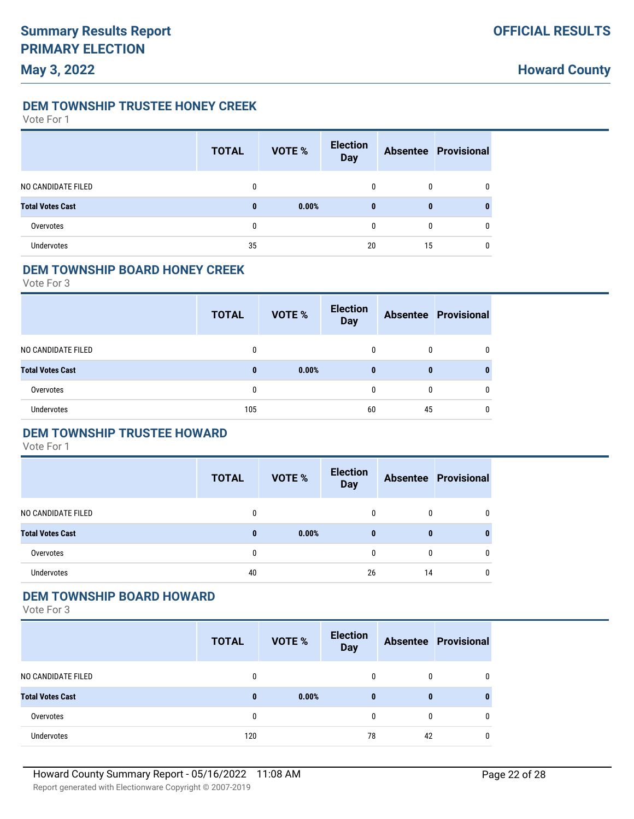**DEM TOWNSHIP TRUSTEE HONEY CREEK**

Vote For 1

|                         | <b>TOTAL</b> | VOTE % | <b>Election</b><br><b>Day</b> |    | <b>Absentee Provisional</b> |
|-------------------------|--------------|--------|-------------------------------|----|-----------------------------|
| NO CANDIDATE FILED      | 0            |        | 0                             | 0  |                             |
| <b>Total Votes Cast</b> | $\bf{0}$     | 0.00%  | $\bf{0}$                      | 0  |                             |
| Overvotes               | 0            |        | 0                             | 0  | 0                           |
| <b>Undervotes</b>       | 35           |        | 20                            | 15 | 0                           |

#### **DEM TOWNSHIP BOARD HONEY CREEK**

Vote For 3

|                         | <b>TOTAL</b> | VOTE % | <b>Election</b><br><b>Day</b> |    | <b>Absentee Provisional</b> |
|-------------------------|--------------|--------|-------------------------------|----|-----------------------------|
| NO CANDIDATE FILED      | $\Omega$     |        | 0                             | 0  |                             |
| <b>Total Votes Cast</b> | $\mathbf{0}$ | 0.00%  | $\bf{0}$                      | 0  |                             |
| Overvotes               | 0            |        | 0                             | 0  |                             |
| <b>Undervotes</b>       | 105          |        | 60                            | 45 |                             |

### **DEM TOWNSHIP TRUSTEE HOWARD**

Vote For 1

|                         | <b>TOTAL</b> | <b>VOTE %</b> | <b>Election</b><br><b>Day</b> |              | <b>Absentee Provisional</b> |
|-------------------------|--------------|---------------|-------------------------------|--------------|-----------------------------|
| NO CANDIDATE FILED      | 0            |               | 0                             | $\mathbf{0}$ | $\mathbf{0}$                |
| <b>Total Votes Cast</b> | $\bf{0}$     | 0.00%         | $\mathbf{0}$                  | 0            | 0                           |
| Overvotes               | 0            |               | $\Omega$                      | $\mathbf{0}$ | $\mathbf{0}$                |
| Undervotes              | 40           |               | 26                            | 14           | $\mathbf{0}$                |

#### **DEM TOWNSHIP BOARD HOWARD**

|                         | <b>TOTAL</b> | <b>VOTE %</b> | <b>Election</b><br><b>Day</b> |    | <b>Absentee Provisional</b> |
|-------------------------|--------------|---------------|-------------------------------|----|-----------------------------|
| NO CANDIDATE FILED      | 0            |               | 0                             | 0  |                             |
| <b>Total Votes Cast</b> | 0            | 0.00%         | $\bf{0}$                      | 0  |                             |
| Overvotes               | 0            |               | $\theta$                      | 0  |                             |
| Undervotes              | 120          |               | 78                            | 42 |                             |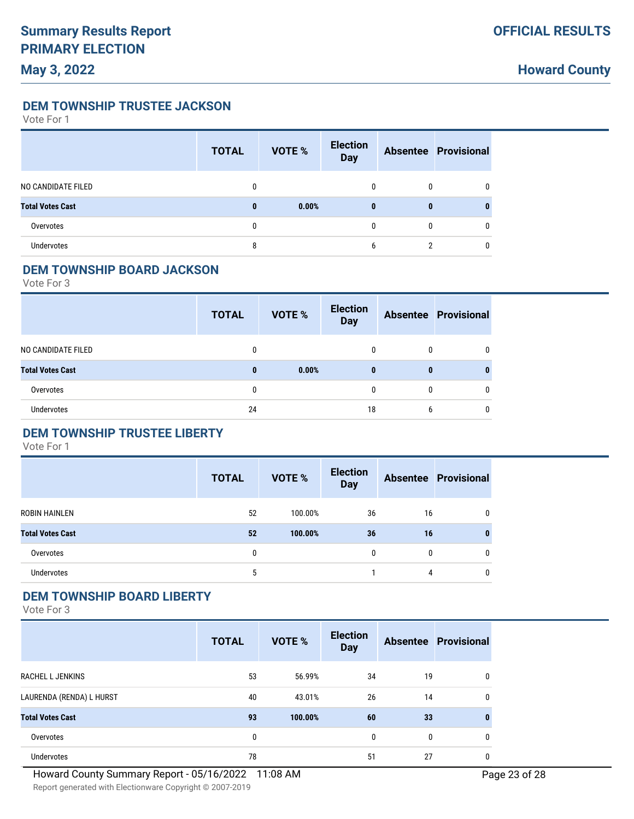**Howard County**

**DEM TOWNSHIP TRUSTEE JACKSON**

Vote For 1

|                         | <b>TOTAL</b> | VOTE % | <b>Election</b><br><b>Day</b> |   | <b>Absentee Provisional</b> |
|-------------------------|--------------|--------|-------------------------------|---|-----------------------------|
| NO CANDIDATE FILED      | 0            |        | 0                             | 0 |                             |
| <b>Total Votes Cast</b> | $\bf{0}$     | 0.00%  | $\bf{0}$                      | 0 |                             |
| Overvotes               | 0            |        | 0                             | 0 | 0                           |
| <b>Undervotes</b>       | 8            |        | 6                             | ົ |                             |

#### **DEM TOWNSHIP BOARD JACKSON**

Vote For 3

|                         | <b>TOTAL</b> | <b>VOTE %</b> | <b>Election</b><br><b>Day</b> |   | <b>Absentee Provisional</b> |
|-------------------------|--------------|---------------|-------------------------------|---|-----------------------------|
| NO CANDIDATE FILED      | 0            |               | 0                             | 0 |                             |
| <b>Total Votes Cast</b> | $\bf{0}$     | 0.00%         | $\bf{0}$                      | 0 |                             |
| Overvotes               | 0            |               | 0                             | 0 | 0                           |
| <b>Undervotes</b>       | 24           |               | 18                            | 6 |                             |

### **DEM TOWNSHIP TRUSTEE LIBERTY**

Vote For 1

|                         | <b>TOTAL</b> | <b>VOTE %</b> | <b>Election</b><br><b>Day</b> |              | <b>Absentee Provisional</b> |
|-------------------------|--------------|---------------|-------------------------------|--------------|-----------------------------|
| ROBIN HAINLEN           | 52           | 100.00%       | 36                            | 16           | $\mathbf{0}$                |
| <b>Total Votes Cast</b> | 52           | 100.00%       | 36                            | 16           | 0                           |
| Overvotes               | 0            |               | $\Omega$                      | $\mathbf{0}$ | $\mathbf{0}$                |
| Undervotes              | 5            |               |                               | 4            | $\mathbf{0}$                |

#### **DEM TOWNSHIP BOARD LIBERTY**

|                          | <b>TOTAL</b> | <b>VOTE %</b> | <b>Election</b><br><b>Day</b> |    | <b>Absentee Provisional</b> |
|--------------------------|--------------|---------------|-------------------------------|----|-----------------------------|
| <b>RACHEL L JENKINS</b>  | 53           | 56.99%        | 34                            | 19 | 0                           |
| LAURENDA (RENDA) L HURST | 40           | 43.01%        | 26                            | 14 | 0                           |
| <b>Total Votes Cast</b>  | 93           | 100.00%       | 60                            | 33 | 0                           |
| Overvotes                | $\mathbf{0}$ |               | $\mathbf{0}$                  | 0  | 0                           |
| Undervotes               | 78           |               | 51                            | 27 | 0                           |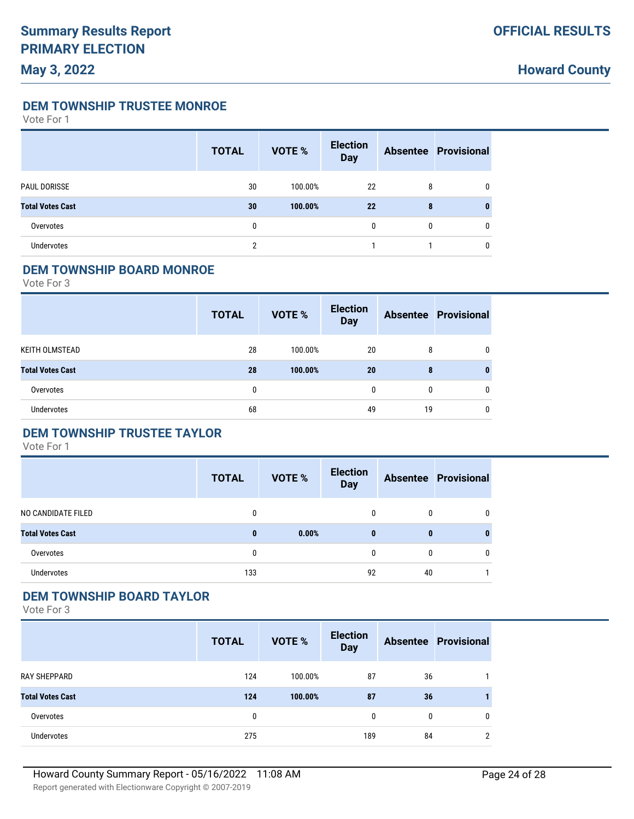**DEM TOWNSHIP TRUSTEE MONROE**

Vote For 1

|                         | <b>TOTAL</b> | <b>VOTE %</b> | <b>Election</b><br><b>Day</b> |   | <b>Absentee Provisional</b> |
|-------------------------|--------------|---------------|-------------------------------|---|-----------------------------|
| PAUL DORISSE            | 30           | 100.00%       | 22                            | 8 | 0                           |
| <b>Total Votes Cast</b> | 30           | 100.00%       | 22                            | 8 | 0                           |
| Overvotes               | 0            |               | 0                             | 0 | 0                           |
| Undervotes              | c            |               |                               |   | 0                           |

#### **DEM TOWNSHIP BOARD MONROE**

Vote For 3

|                         | <b>TOTAL</b> | <b>VOTE %</b> | <b>Election</b><br><b>Day</b> |    | <b>Absentee Provisional</b> |
|-------------------------|--------------|---------------|-------------------------------|----|-----------------------------|
| KEITH OLMSTEAD          | 28           | 100.00%       | 20                            | 8  |                             |
| <b>Total Votes Cast</b> | 28           | 100.00%       | 20                            | 8  |                             |
| Overvotes               | $\mathbf{0}$ |               | $\mathbf{0}$                  | 0  | 0                           |
| <b>Undervotes</b>       | 68           |               | 49                            | 19 |                             |

### **DEM TOWNSHIP TRUSTEE TAYLOR**

Vote For 1

|                         | <b>TOTAL</b> | <b>VOTE %</b> | <b>Election</b><br><b>Day</b> |              | <b>Absentee Provisional</b> |
|-------------------------|--------------|---------------|-------------------------------|--------------|-----------------------------|
| NO CANDIDATE FILED      | 0            |               |                               | $\mathbf{0}$ | $\mathbf{0}$                |
| <b>Total Votes Cast</b> | $\bf{0}$     | 0.00%         | $\bf{0}$                      | 0            | 0                           |
| Overvotes               | 0            |               |                               | $\mathbf{0}$ | $\mathbf{0}$                |
| Undervotes              | 133          |               | 92                            | 40           |                             |

#### **DEM TOWNSHIP BOARD TAYLOR**

|                         | <b>TOTAL</b> | <b>VOTE %</b> | <b>Election</b><br><b>Day</b> |    | <b>Absentee Provisional</b> |
|-------------------------|--------------|---------------|-------------------------------|----|-----------------------------|
| RAY SHEPPARD            | 124          | 100.00%       | 87                            | 36 |                             |
| <b>Total Votes Cast</b> | 124          | 100.00%       | 87                            | 36 |                             |
| Overvotes               | 0            |               | 0                             | 0  | 0                           |
| Undervotes              | 275          |               | 189                           | 84 | ∩                           |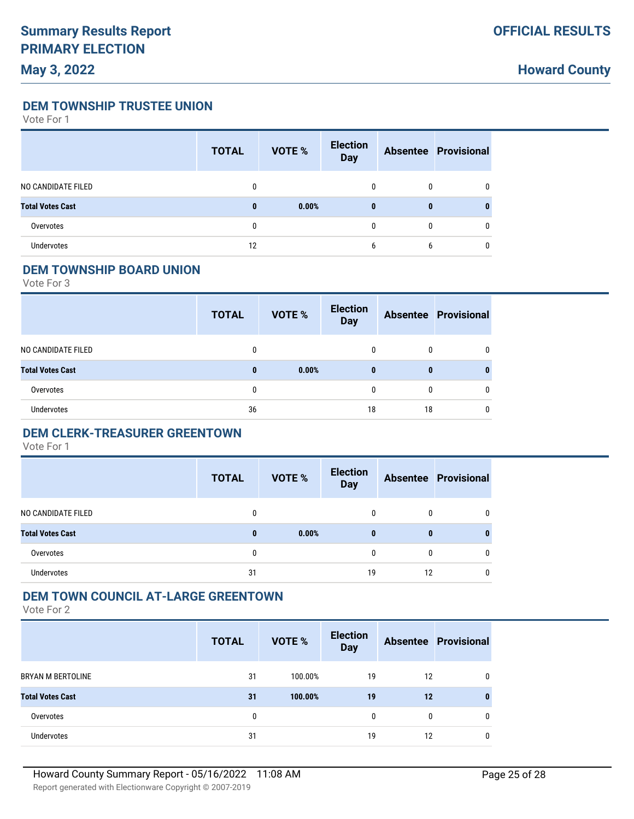**Howard County**

**DEM TOWNSHIP TRUSTEE UNION**

Vote For 1

|                         | <b>TOTAL</b> | VOTE % | <b>Election</b><br><b>Day</b> |   | <b>Absentee Provisional</b> |
|-------------------------|--------------|--------|-------------------------------|---|-----------------------------|
| NO CANDIDATE FILED      | 0            |        | 0                             | 0 |                             |
| <b>Total Votes Cast</b> | $\bf{0}$     | 0.00%  | $\bf{0}$                      | 0 |                             |
| Overvotes               | 0            |        | 0                             | 0 | 0                           |
| <b>Undervotes</b>       | 12           |        | 6                             | 6 |                             |

#### **DEM TOWNSHIP BOARD UNION**

Vote For 3

|                         | <b>TOTAL</b> | VOTE % | <b>Election</b><br><b>Day</b> |    | <b>Absentee Provisional</b> |
|-------------------------|--------------|--------|-------------------------------|----|-----------------------------|
| NO CANDIDATE FILED      | $\mathbf{0}$ |        | 0                             | 0  |                             |
| <b>Total Votes Cast</b> | $\mathbf{0}$ | 0.00%  | $\bf{0}$                      | 0  |                             |
| Overvotes               | 0            |        | 0                             | 0  |                             |
| <b>Undervotes</b>       | 36           |        | 18                            | 18 |                             |

#### **DEM CLERK-TREASURER GREENTOWN**

Vote For 1

|                         | <b>TOTAL</b> | <b>VOTE %</b> | <b>Election</b><br><b>Day</b> |              | <b>Absentee Provisional</b> |
|-------------------------|--------------|---------------|-------------------------------|--------------|-----------------------------|
| NO CANDIDATE FILED      | 0            |               | $\mathbf{0}$                  | $\mathbf{0}$ | $\mathbf{0}$                |
| <b>Total Votes Cast</b> | $\bf{0}$     | 0.00%         | $\mathbf{0}$                  | 0            | 0                           |
| Overvotes               | 0            |               |                               | $\Omega$     | $\mathbf{0}$                |
| Undervotes              | 31           |               | 19                            | 12           | 0                           |

#### **DEM TOWN COUNCIL AT-LARGE GREENTOWN**

|                          | <b>TOTAL</b> | <b>VOTE %</b> | <b>Election</b><br><b>Day</b> |    | <b>Absentee Provisional</b> |
|--------------------------|--------------|---------------|-------------------------------|----|-----------------------------|
| <b>BRYAN M BERTOLINE</b> | 31           | 100.00%       | 19                            | 12 | 0                           |
| <b>Total Votes Cast</b>  | 31           | 100.00%       | 19                            | 12 | 0                           |
| Overvotes                | 0            |               | 0                             | 0  | 0                           |
| Undervotes               | 31           |               | 19                            | 12 | 0                           |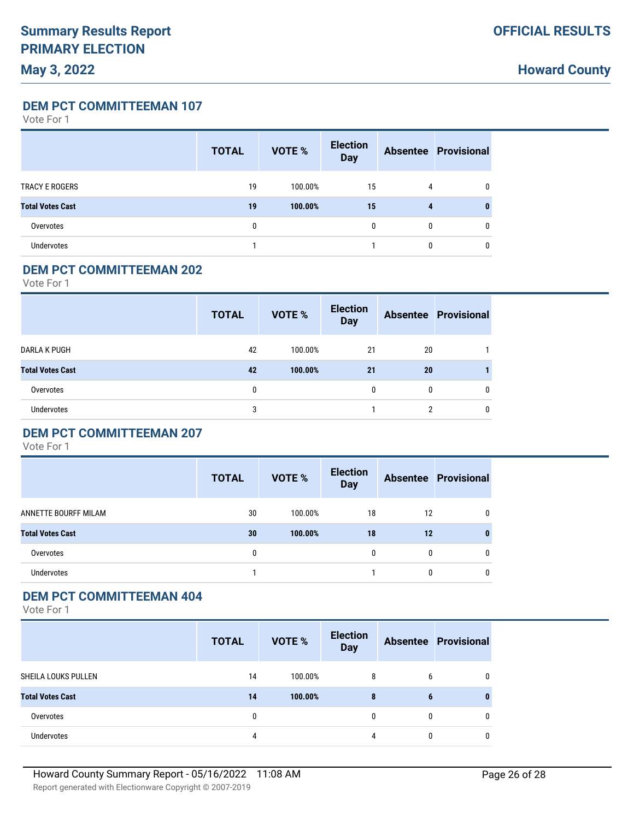**Howard County**

**DEM PCT COMMITTEEMAN 107**

Vote For 1

|                         | <b>TOTAL</b> | <b>VOTE %</b> | <b>Election</b><br><b>Day</b> |   | <b>Absentee Provisional</b> |
|-------------------------|--------------|---------------|-------------------------------|---|-----------------------------|
| <b>TRACY E ROGERS</b>   | 19           | 100.00%       | 15                            | 4 | 0                           |
| <b>Total Votes Cast</b> | 19           | 100.00%       | 15                            | 4 | 0                           |
| Overvotes               | 0            |               | $\mathbf{0}$                  | 0 | 0                           |
| <b>Undervotes</b>       |              |               |                               | 0 | 0                           |

### **DEM PCT COMMITTEEMAN 202**

Vote For 1

|                         | <b>TOTAL</b> | <b>VOTE %</b> | <b>Election</b><br><b>Day</b> |    | <b>Absentee Provisional</b> |
|-------------------------|--------------|---------------|-------------------------------|----|-----------------------------|
| <b>DARLA K PUGH</b>     | 42           | 100.00%       | 21                            | 20 |                             |
| <b>Total Votes Cast</b> | 42           | 100.00%       | 21                            | 20 |                             |
| Overvotes               | 0            |               | 0                             | 0  |                             |
| <b>Undervotes</b>       | 3            |               |                               | 2  | 0                           |

### **DEM PCT COMMITTEEMAN 207**

Vote For 1

|                         | <b>TOTAL</b> | <b>VOTE %</b> | <b>Election</b><br><b>Day</b> |          | <b>Absentee Provisional</b> |
|-------------------------|--------------|---------------|-------------------------------|----------|-----------------------------|
| ANNETTE BOURFF MILAM    | 30           | 100.00%       | 18                            | 12       | $\mathbf{0}$                |
| <b>Total Votes Cast</b> | 30           | 100.00%       | 18                            | 12       | 0                           |
| Overvotes               | 0            |               | $\mathbf{0}$                  | 0        | $\mathbf{0}$                |
| Undervotes              |              |               |                               | $\Omega$ | $\mathbf{0}$                |

#### **DEM PCT COMMITTEEMAN 404**

|                         | <b>TOTAL</b> | <b>VOTE %</b> | <b>Election</b><br><b>Day</b> |   | <b>Absentee Provisional</b> |
|-------------------------|--------------|---------------|-------------------------------|---|-----------------------------|
| SHEILA LOUKS PULLEN     | 14           | 100.00%       | 8                             | b | 0                           |
| <b>Total Votes Cast</b> | 14           | 100.00%       | 8                             | 6 |                             |
| Overvotes               | 0            |               | 0                             | 0 | 0                           |
| <b>Undervotes</b>       | 4            |               | 4                             | 0 | 0                           |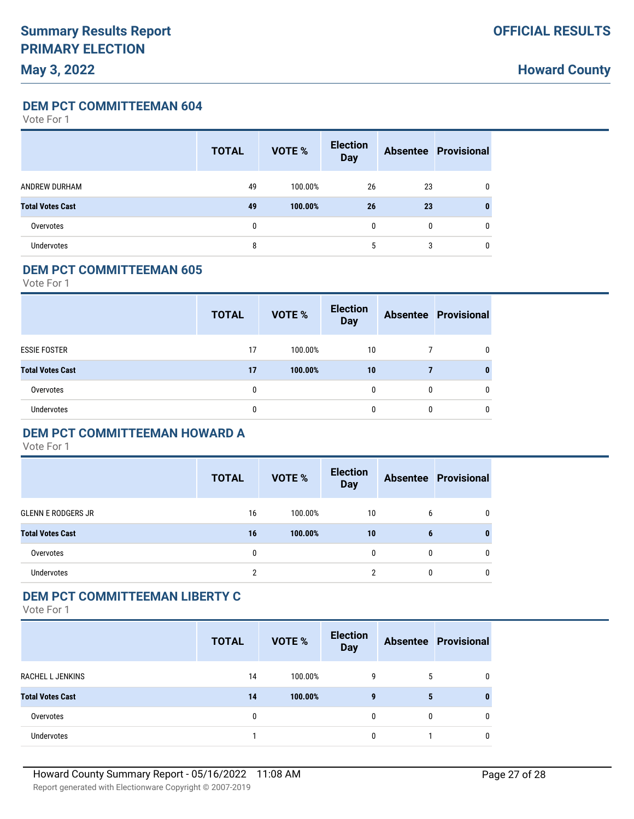**Howard County**

**DEM PCT COMMITTEEMAN 604**

Vote For 1

|                         | <b>TOTAL</b> | <b>VOTE %</b> | <b>Election</b><br><b>Day</b> |    | <b>Absentee Provisional</b> |
|-------------------------|--------------|---------------|-------------------------------|----|-----------------------------|
| ANDREW DURHAM           | 49           | 100.00%       | 26                            | 23 | 0                           |
| <b>Total Votes Cast</b> | 49           | 100.00%       | 26                            | 23 | 0                           |
| Overvotes               | 0            |               | 0                             | 0  | 0                           |
| <b>Undervotes</b>       | 8            |               | 5                             | 3  | 0                           |

#### **DEM PCT COMMITTEEMAN 605**

Vote For 1

|                         | <b>TOTAL</b> | <b>VOTE %</b> | <b>Election</b><br><b>Day</b> |   | <b>Absentee Provisional</b> |
|-------------------------|--------------|---------------|-------------------------------|---|-----------------------------|
| <b>ESSIE FOSTER</b>     | 17           | 100.00%       | 10                            |   | 0                           |
| <b>Total Votes Cast</b> | 17           | 100.00%       | 10                            |   |                             |
| Overvotes               | 0            |               | 0                             | 0 | 0                           |
| Undervotes              | 0            |               |                               | 0 | 0                           |

#### **DEM PCT COMMITTEEMAN HOWARD A**

Vote For 1

|                           | <b>TOTAL</b> | <b>VOTE %</b> | <b>Election</b><br><b>Day</b> |          | <b>Absentee Provisional</b> |
|---------------------------|--------------|---------------|-------------------------------|----------|-----------------------------|
| <b>GLENN E RODGERS JR</b> | 16           | 100.00%       | 10                            | -6       | 0                           |
| <b>Total Votes Cast</b>   | 16           | 100.00%       | 10                            | 6        | 0                           |
| Overvotes                 | 0            |               | $\Omega$                      | $\Omega$ | $\mathbf{0}$                |
| Undervotes                | ∩            |               | c                             |          | 0                           |

#### **DEM PCT COMMITTEEMAN LIBERTY C**

|                         | <b>TOTAL</b> | VOTE %  | <b>Election</b><br><b>Day</b> |   | <b>Absentee Provisional</b> |
|-------------------------|--------------|---------|-------------------------------|---|-----------------------------|
| <b>RACHEL L JENKINS</b> | 14           | 100.00% | 9                             | 5 |                             |
| <b>Total Votes Cast</b> | 14           | 100.00% | 9                             | 5 |                             |
| Overvotes               | 0            |         | 0                             | 0 |                             |
| <b>Undervotes</b>       |              |         | 0                             |   |                             |